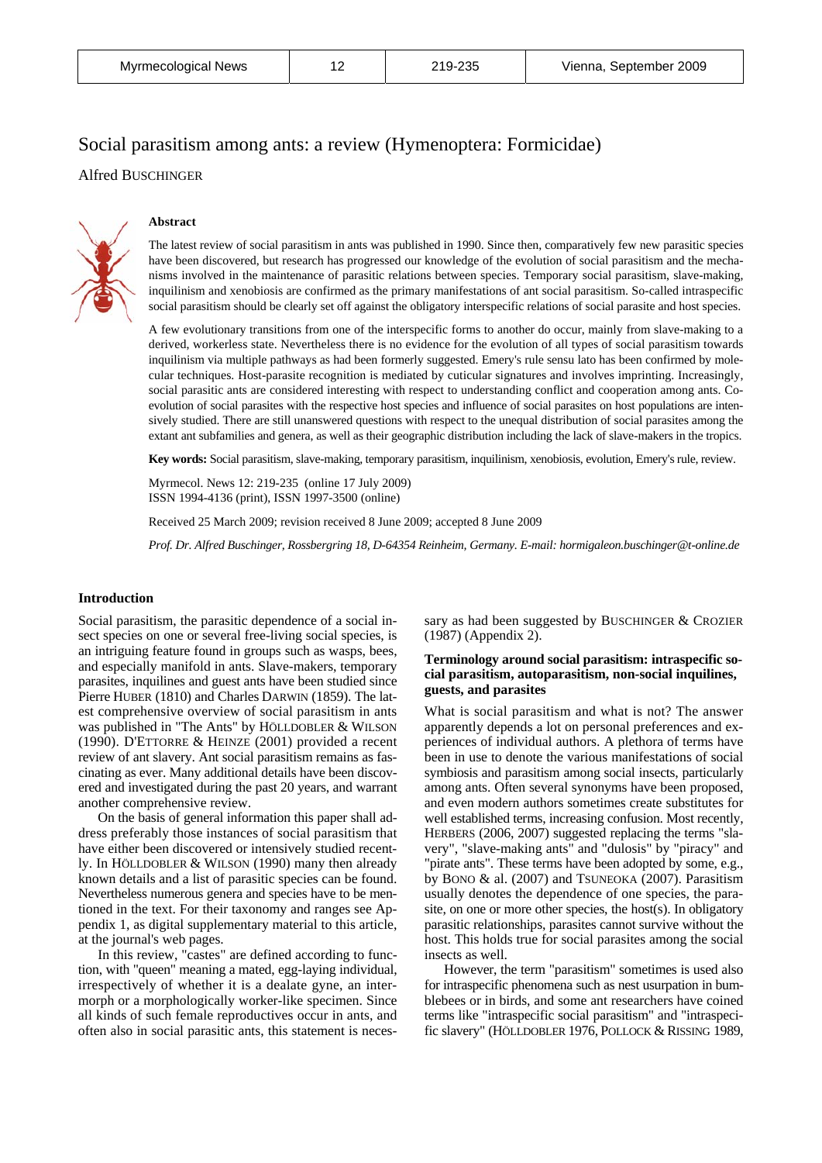# Social parasitism among ants: a review (Hymenoptera: Formicidae) Alfred BUSCHINGER



#### **Abstract**

The latest review of social parasitism in ants was published in 1990. Since then, comparatively few new parasitic species have been discovered, but research has progressed our knowledge of the evolution of social parasitism and the mechanisms involved in the maintenance of parasitic relations between species. Temporary social parasitism, slave-making, inquilinism and xenobiosis are confirmed as the primary manifestations of ant social parasitism. So-called intraspecific social parasitism should be clearly set off against the obligatory interspecific relations of social parasite and host species.

A few evolutionary transitions from one of the interspecific forms to another do occur, mainly from slave-making to a derived, workerless state. Nevertheless there is no evidence for the evolution of all types of social parasitism towards inquilinism via multiple pathways as had been formerly suggested. Emery's rule sensu lato has been confirmed by molecular techniques. Host-parasite recognition is mediated by cuticular signatures and involves imprinting. Increasingly, social parasitic ants are considered interesting with respect to understanding conflict and cooperation among ants. Coevolution of social parasites with the respective host species and influence of social parasites on host populations are intensively studied. There are still unanswered questions with respect to the unequal distribution of social parasites among the extant ant subfamilies and genera, as well as their geographic distribution including the lack of slave-makers in the tropics.

**Key words:** Social parasitism, slave-making, temporary parasitism, inquilinism, xenobiosis, evolution, Emery's rule, review.

Myrmecol. News 12: 219-235 (online 17 July 2009) ISSN 1994-4136 (print), ISSN 1997-3500 (online)

Received 25 March 2009; revision received 8 June 2009; accepted 8 June 2009

*Prof. Dr. Alfred Buschinger, Rossbergring 18, D-64354 Reinheim, Germany. E-mail: hormigaleon.buschinger@t-online.de* 

# **Introduction**

Social parasitism, the parasitic dependence of a social insect species on one or several free-living social species, is an intriguing feature found in groups such as wasps, bees, and especially manifold in ants. Slave-makers, temporary parasites, inquilines and guest ants have been studied since Pierre HUBER (1810) and Charles DARWIN (1859). The latest comprehensive overview of social parasitism in ants was published in "The Ants" by HÖLLDOBLER & WILSON (1990). D'ETTORRE & HEINZE (2001) provided a recent review of ant slavery. Ant social parasitism remains as fascinating as ever. Many additional details have been discovered and investigated during the past 20 years, and warrant another comprehensive review.

On the basis of general information this paper shall address preferably those instances of social parasitism that have either been discovered or intensively studied recently. In HÖLLDOBLER & WILSON (1990) many then already known details and a list of parasitic species can be found. Nevertheless numerous genera and species have to be mentioned in the text. For their taxonomy and ranges see Appendix 1, as digital supplementary material to this article, at the journal's web pages.

In this review, "castes" are defined according to function, with "queen" meaning a mated, egg-laying individual, irrespectively of whether it is a dealate gyne, an intermorph or a morphologically worker-like specimen. Since all kinds of such female reproductives occur in ants, and often also in social parasitic ants, this statement is necessary as had been suggested by BUSCHINGER & CROZIER (1987) (Appendix 2).

# **Terminology around social parasitism: intraspecific social parasitism, autoparasitism, non-social inquilines, guests, and parasites**

What is social parasitism and what is not? The answer apparently depends a lot on personal preferences and experiences of individual authors. A plethora of terms have been in use to denote the various manifestations of social symbiosis and parasitism among social insects, particularly among ants. Often several synonyms have been proposed, and even modern authors sometimes create substitutes for well established terms, increasing confusion. Most recently, HERBERS (2006, 2007) suggested replacing the terms "slavery", "slave-making ants" and "dulosis" by "piracy" and "pirate ants". These terms have been adopted by some, e.g., by BONO & al. (2007) and TSUNEOKA (2007). Parasitism usually denotes the dependence of one species, the parasite, on one or more other species, the host(s). In obligatory parasitic relationships, parasites cannot survive without the host. This holds true for social parasites among the social insects as well.

However, the term "parasitism" sometimes is used also for intraspecific phenomena such as nest usurpation in bumblebees or in birds, and some ant researchers have coined terms like "intraspecific social parasitism" and "intraspecific slavery" (HÖLLDOBLER 1976, POLLOCK & RISSING 1989,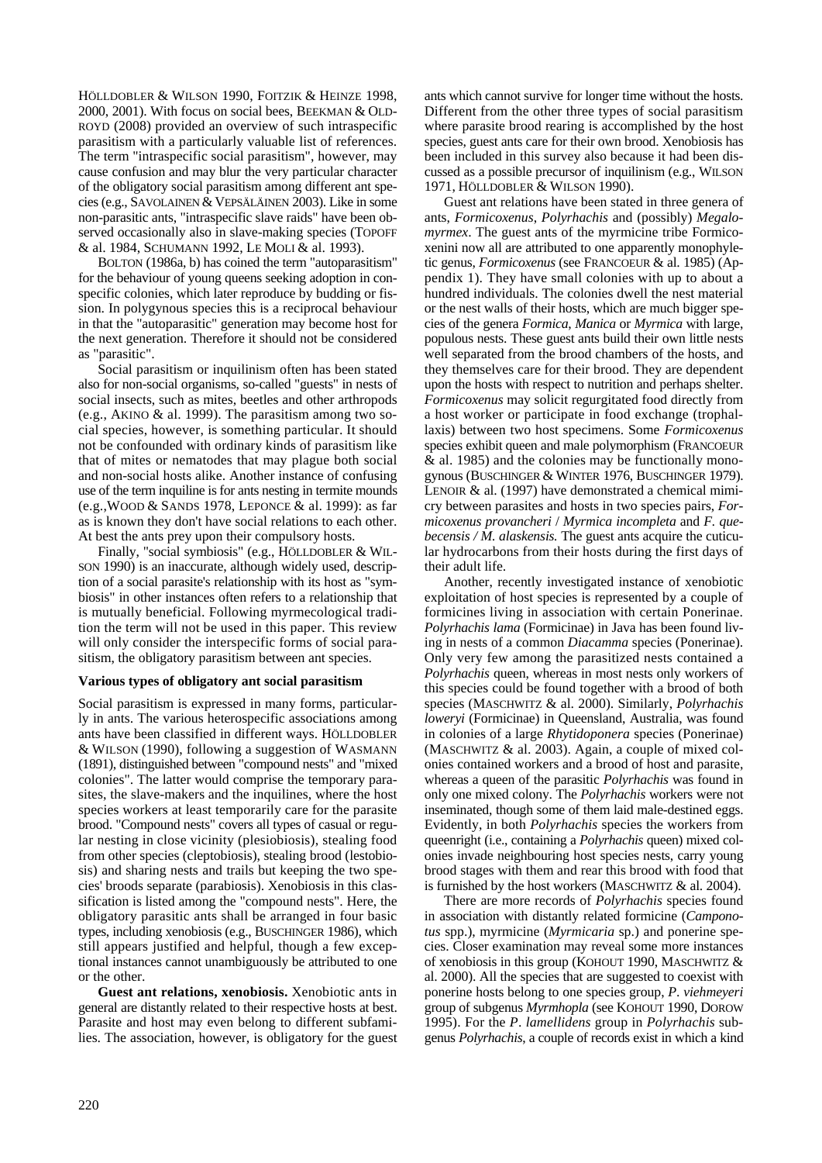HÖLLDOBLER & WILSON 1990, FOITZIK & HEINZE 1998, 2000, 2001). With focus on social bees, BEEKMAN & OLD-ROYD (2008) provided an overview of such intraspecific parasitism with a particularly valuable list of references. The term "intraspecific social parasitism", however, may cause confusion and may blur the very particular character of the obligatory social parasitism among different ant species (e.g., SAVOLAINEN & VEPSÄLÄINEN 2003). Like in some non-parasitic ants, "intraspecific slave raids" have been observed occasionally also in slave-making species (TOPOFF & al. 1984, SCHUMANN 1992, LE MOLI & al. 1993).

BOLTON (1986a, b) has coined the term "autoparasitism" for the behaviour of young queens seeking adoption in conspecific colonies, which later reproduce by budding or fission. In polygynous species this is a reciprocal behaviour in that the "autoparasitic" generation may become host for the next generation. Therefore it should not be considered as "parasitic".

Social parasitism or inquilinism often has been stated also for non-social organisms, so-called "guests" in nests of social insects, such as mites, beetles and other arthropods (e.g., AKINO & al. 1999). The parasitism among two social species, however, is something particular. It should not be confounded with ordinary kinds of parasitism like that of mites or nematodes that may plague both social and non-social hosts alike. Another instance of confusing use of the term inquiline is for ants nesting in termite mounds (e.g.,WOOD & SANDS 1978, LEPONCE & al. 1999): as far as is known they don't have social relations to each other. At best the ants prey upon their compulsory hosts.

Finally, "social symbiosis" (e.g., HÖLLDOBLER & WIL-SON 1990) is an inaccurate, although widely used, description of a social parasite's relationship with its host as "symbiosis" in other instances often refers to a relationship that is mutually beneficial. Following myrmecological tradition the term will not be used in this paper. This review will only consider the interspecific forms of social parasitism, the obligatory parasitism between ant species.

#### **Various types of obligatory ant social parasitism**

Social parasitism is expressed in many forms, particularly in ants. The various heterospecific associations among ants have been classified in different ways. HÖLLDOBLER & WILSON (1990), following a suggestion of WASMANN (1891), distinguished between "compound nests" and "mixed colonies". The latter would comprise the temporary parasites, the slave-makers and the inquilines, where the host species workers at least temporarily care for the parasite brood. "Compound nests" covers all types of casual or regular nesting in close vicinity (plesiobiosis), stealing food from other species (cleptobiosis), stealing brood (lestobiosis) and sharing nests and trails but keeping the two species' broods separate (parabiosis). Xenobiosis in this classification is listed among the "compound nests". Here, the obligatory parasitic ants shall be arranged in four basic types, including xenobiosis (e.g., BUSCHINGER 1986), which still appears justified and helpful, though a few exceptional instances cannot unambiguously be attributed to one or the other.

**Guest ant relations, xenobiosis.** Xenobiotic ants in general are distantly related to their respective hosts at best. Parasite and host may even belong to different subfamilies. The association, however, is obligatory for the guest ants which cannot survive for longer time without the hosts. Different from the other three types of social parasitism where parasite brood rearing is accomplished by the host species, guest ants care for their own brood. Xenobiosis has been included in this survey also because it had been discussed as a possible precursor of inquilinism (e.g., WILSON 1971, HÖLLDOBLER & WILSON 1990).

Guest ant relations have been stated in three genera of ants, *Formicoxenus*, *Polyrhachis* and (possibly) *Megalomyrmex*. The guest ants of the myrmicine tribe Formicoxenini now all are attributed to one apparently monophyletic genus, *Formicoxenus* (see FRANCOEUR & al. 1985) (Appendix 1). They have small colonies with up to about a hundred individuals. The colonies dwell the nest material or the nest walls of their hosts, which are much bigger species of the genera *Formica*, *Manica* or *Myrmica* with large, populous nests. These guest ants build their own little nests well separated from the brood chambers of the hosts, and they themselves care for their brood. They are dependent upon the hosts with respect to nutrition and perhaps shelter. *Formicoxenus* may solicit regurgitated food directly from a host worker or participate in food exchange (trophallaxis) between two host specimens. Some *Formicoxenus* species exhibit queen and male polymorphism (FRANCOEUR & al. 1985) and the colonies may be functionally monogynous (BUSCHINGER & WINTER 1976, BUSCHINGER 1979). LENOIR & al. (1997) have demonstrated a chemical mimicry between parasites and hosts in two species pairs, *Formicoxenus provancheri* / *Myrmica incompleta* and *F. quebecensis / M. alaskensis.* The guest ants acquire the cuticular hydrocarbons from their hosts during the first days of their adult life.

Another, recently investigated instance of xenobiotic exploitation of host species is represented by a couple of formicines living in association with certain Ponerinae. *Polyrhachis lama* (Formicinae) in Java has been found living in nests of a common *Diacamma* species (Ponerinae). Only very few among the parasitized nests contained a *Polyrhachis* queen, whereas in most nests only workers of this species could be found together with a brood of both species (MASCHWITZ & al. 2000). Similarly, *Polyrhachis loweryi* (Formicinae) in Queensland, Australia, was found in colonies of a large *Rhytidoponera* species (Ponerinae) (MASCHWITZ & al. 2003). Again, a couple of mixed colonies contained workers and a brood of host and parasite, whereas a queen of the parasitic *Polyrhachis* was found in only one mixed colony. The *Polyrhachis* workers were not inseminated, though some of them laid male-destined eggs. Evidently, in both *Polyrhachis* species the workers from queenright (i.e., containing a *Polyrhachis* queen) mixed colonies invade neighbouring host species nests, carry young brood stages with them and rear this brood with food that is furnished by the host workers (MASCHWITZ & al. 2004).

There are more records of *Polyrhachis* species found in association with distantly related formicine (*Camponotus* spp.), myrmicine (*Myrmicaria* sp.) and ponerine species. Closer examination may reveal some more instances of xenobiosis in this group (KOHOUT 1990, MASCHWITZ & al. 2000). All the species that are suggested to coexist with ponerine hosts belong to one species group, *P*. *viehmeyeri*  group of subgenus *Myrmhopla* (see KOHOUT 1990, DOROW 1995). For the *P*. *lamellidens* group in *Polyrhachis* subgenus *Polyrhachis*, a couple of records exist in which a kind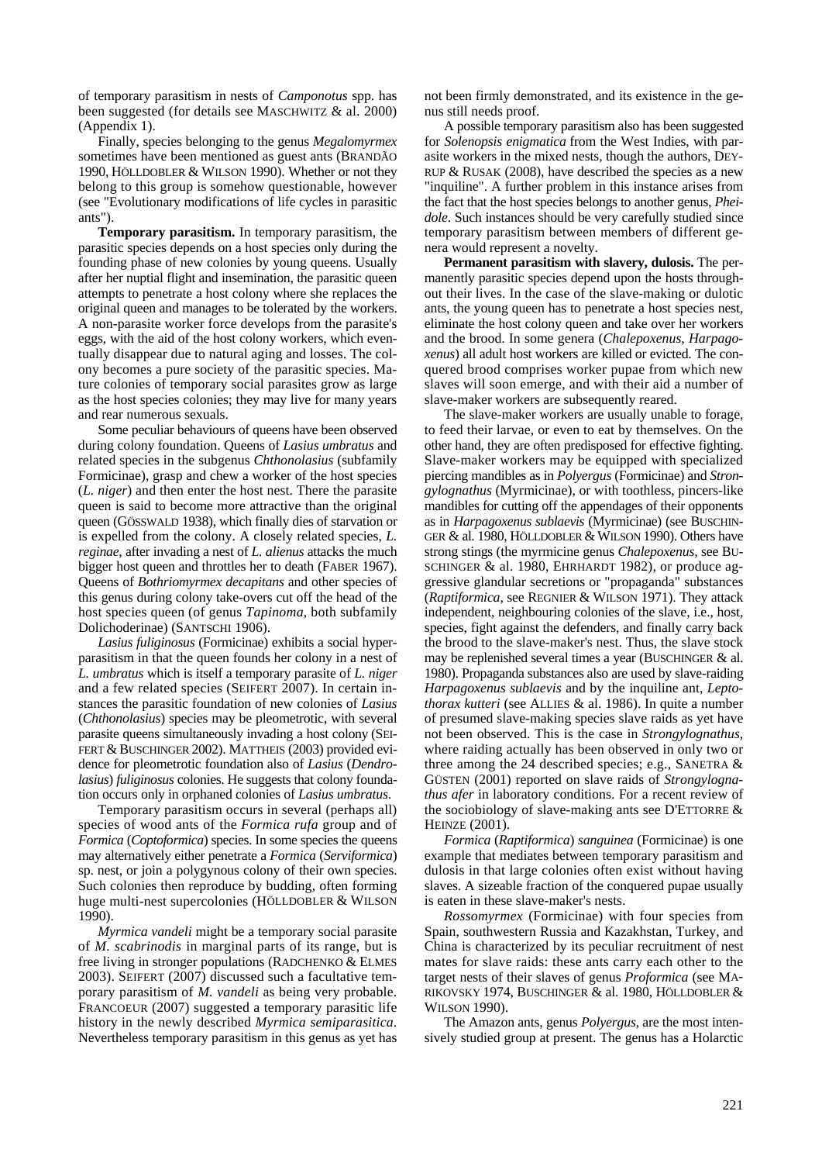of temporary parasitism in nests of *Camponotus* spp. has been suggested (for details see MASCHWITZ & al. 2000) (Appendix 1).

Finally, species belonging to the genus *Megalomyrmex* sometimes have been mentioned as guest ants (BRANDÃO 1990, HÖLLDOBLER & WILSON 1990). Whether or not they belong to this group is somehow questionable, however (see "Evolutionary modifications of life cycles in parasitic ants").

**Temporary parasitism.** In temporary parasitism, the parasitic species depends on a host species only during the founding phase of new colonies by young queens. Usually after her nuptial flight and insemination, the parasitic queen attempts to penetrate a host colony where she replaces the original queen and manages to be tolerated by the workers. A non-parasite worker force develops from the parasite's eggs, with the aid of the host colony workers, which eventually disappear due to natural aging and losses. The colony becomes a pure society of the parasitic species. Mature colonies of temporary social parasites grow as large as the host species colonies; they may live for many years and rear numerous sexuals.

Some peculiar behaviours of queens have been observed during colony foundation. Queens of *Lasius umbratus* and related species in the subgenus *Chthonolasius* (subfamily Formicinae), grasp and chew a worker of the host species (*L. niger*) and then enter the host nest. There the parasite queen is said to become more attractive than the original queen (GÖSSWALD 1938), which finally dies of starvation or is expelled from the colony. A closely related species, *L. reginae*, after invading a nest of *L. alienus* attacks the much bigger host queen and throttles her to death (FABER 1967). Queens of *Bothriomyrmex decapitans* and other species of this genus during colony take-overs cut off the head of the host species queen (of genus *Tapinoma*, both subfamily Dolichoderinae) (SANTSCHI 1906).

*Lasius fuliginosus* (Formicinae) exhibits a social hyperparasitism in that the queen founds her colony in a nest of *L. umbratus* which is itself a temporary parasite of *L. niger*  and a few related species (SEIFERT 2007). In certain instances the parasitic foundation of new colonies of *Lasius* (*Chthonolasius*) species may be pleometrotic, with several parasite queens simultaneously invading a host colony (SEI-FERT & BUSCHINGER 2002). MATTHEIS (2003) provided evidence for pleometrotic foundation also of *Lasius* (*Dendrolasius*) *fuliginosus* colonies. He suggests that colony foundation occurs only in orphaned colonies of *Lasius umbratus*.

Temporary parasitism occurs in several (perhaps all) species of wood ants of the *Formica rufa* group and of *Formica (Coptoformica)* species. In some species the queens may alternatively either penetrate a *Formica* (*Serviformica*) sp. nest, or join a polygynous colony of their own species. Such colonies then reproduce by budding, often forming huge multi-nest supercolonies (HÖLLDOBLER & WILSON 1990).

*Myrmica vandeli* might be a temporary social parasite of *M. scabrinodis* in marginal parts of its range, but is free living in stronger populations (RADCHENKO & ELMES 2003). SEIFERT (2007) discussed such a facultative temporary parasitism of *M. vandeli* as being very probable. FRANCOEUR (2007) suggested a temporary parasitic life history in the newly described *Myrmica semiparasitica*. Nevertheless temporary parasitism in this genus as yet has not been firmly demonstrated, and its existence in the genus still needs proof.

A possible temporary parasitism also has been suggested for *Solenopsis enigmatica* from the West Indies, with parasite workers in the mixed nests, though the authors, DEY-RUP & RUSAK (2008), have described the species as a new "inquiline". A further problem in this instance arises from the fact that the host species belongs to another genus, *Pheidole*. Such instances should be very carefully studied since temporary parasitism between members of different genera would represent a novelty.

**Permanent parasitism with slavery, dulosis.** The permanently parasitic species depend upon the hosts throughout their lives. In the case of the slave-making or dulotic ants, the young queen has to penetrate a host species nest, eliminate the host colony queen and take over her workers and the brood. In some genera (*Chalepoxenus*, *Harpagoxenus*) all adult host workers are killed or evicted. The conquered brood comprises worker pupae from which new slaves will soon emerge, and with their aid a number of slave-maker workers are subsequently reared.

The slave-maker workers are usually unable to forage, to feed their larvae, or even to eat by themselves. On the other hand, they are often predisposed for effective fighting. Slave-maker workers may be equipped with specialized piercing mandibles as in *Polyergus* (Formicinae) and *Strongylognathus* (Myrmicinae), or with toothless, pincers-like mandibles for cutting off the appendages of their opponents as in *Harpagoxenus sublaevis* (Myrmicinae) (see BUSCHIN-GER & al. 1980, HÖLLDOBLER & WILSON 1990). Others have strong stings (the myrmicine genus *Chalepoxenus*, see BU-SCHINGER & al. 1980, EHRHARDT 1982), or produce aggressive glandular secretions or "propaganda" substances (*Raptiformica*, see REGNIER & WILSON 1971). They attack independent, neighbouring colonies of the slave, i.e., host, species, fight against the defenders, and finally carry back the brood to the slave-maker's nest. Thus, the slave stock may be replenished several times a year (BUSCHINGER & al. 1980). Propaganda substances also are used by slave-raiding *Harpagoxenus sublaevis* and by the inquiline ant, *Leptothorax kutteri* (see ALLIES & al. 1986). In quite a number of presumed slave-making species slave raids as yet have not been observed. This is the case in *Strongylognathus*, where raiding actually has been observed in only two or three among the 24 described species; e.g., SANETRA & GÜSTEN (2001) reported on slave raids of *Strongylognathus afer* in laboratory conditions. For a recent review of the sociobiology of slave-making ants see D'ETTORRE & HEINZE (2001).

*Formica* (*Raptiformica*) *sanguinea* (Formicinae) is one example that mediates between temporary parasitism and dulosis in that large colonies often exist without having slaves. A sizeable fraction of the conquered pupae usually is eaten in these slave-maker's nests.

*Rossomyrmex* (Formicinae) with four species from Spain, southwestern Russia and Kazakhstan, Turkey, and China is characterized by its peculiar recruitment of nest mates for slave raids: these ants carry each other to the target nests of their slaves of genus *Proformica* (see MA-RIKOVSKY 1974, BUSCHINGER & al. 1980, HÖLLDOBLER & WILSON 1990).

The Amazon ants, genus *Polyergus*, are the most intensively studied group at present. The genus has a Holarctic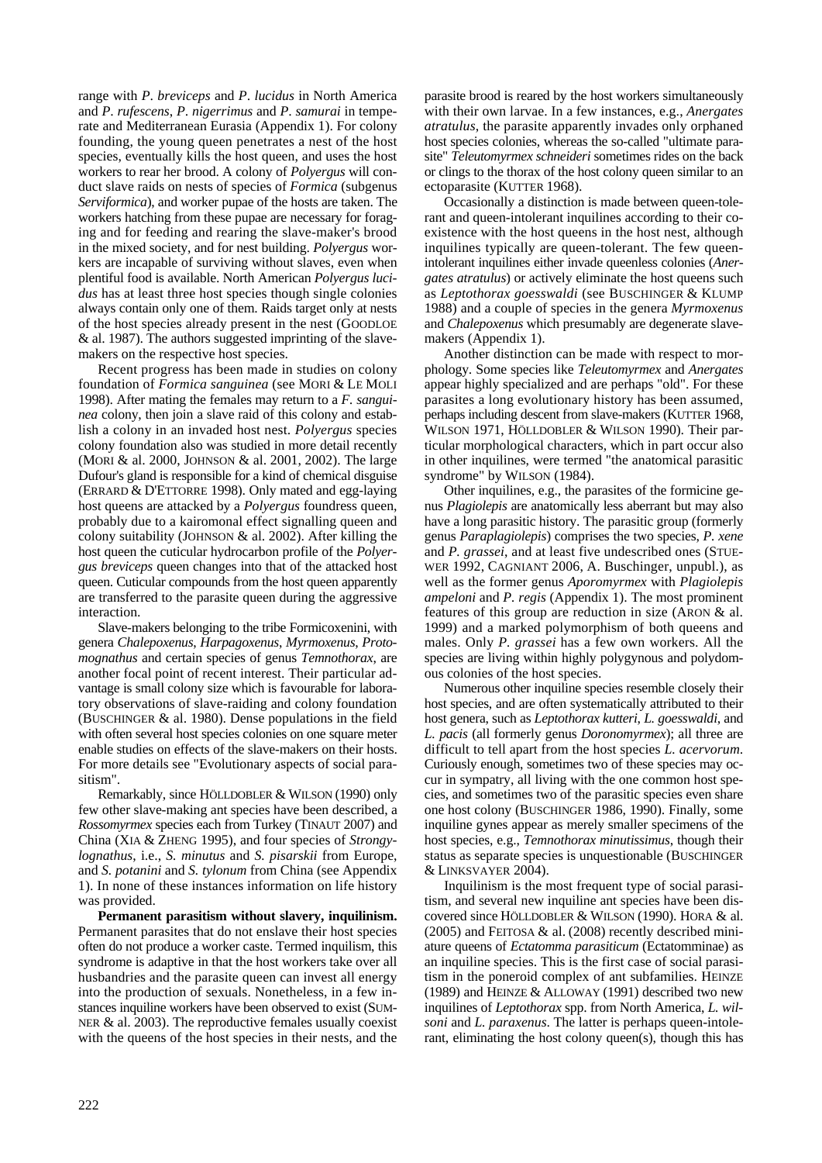range with *P*. *breviceps* and *P*. *lucidus* in North America and *P*. *rufescens*, *P*. *nigerrimus* and *P*. *samurai* in temperate and Mediterranean Eurasia (Appendix 1). For colony founding, the young queen penetrates a nest of the host species, eventually kills the host queen, and uses the host workers to rear her brood. A colony of *Polyergus* will conduct slave raids on nests of species of *Formica* (subgenus *Serviformica*), and worker pupae of the hosts are taken. The workers hatching from these pupae are necessary for foraging and for feeding and rearing the slave-maker's brood in the mixed society, and for nest building. *Polyergus* workers are incapable of surviving without slaves, even when plentiful food is available. North American *Polyergus lucidus* has at least three host species though single colonies always contain only one of them. Raids target only at nests of the host species already present in the nest (GOODLOE & al. 1987). The authors suggested imprinting of the slavemakers on the respective host species.

Recent progress has been made in studies on colony foundation of *Formica sanguinea* (see MORI & LE MOLI 1998). After mating the females may return to a *F. sanguinea* colony, then join a slave raid of this colony and establish a colony in an invaded host nest. *Polyergus* species colony foundation also was studied in more detail recently (MORI & al. 2000, JOHNSON & al. 2001, 2002). The large Dufour's gland is responsible for a kind of chemical disguise (ERRARD & D'ETTORRE 1998). Only mated and egg-laying host queens are attacked by a *Polyergus* foundress queen, probably due to a kairomonal effect signalling queen and colony suitability (JOHNSON & al. 2002). After killing the host queen the cuticular hydrocarbon profile of the *Polyergus breviceps* queen changes into that of the attacked host queen. Cuticular compounds from the host queen apparently are transferred to the parasite queen during the aggressive interaction.

Slave-makers belonging to the tribe Formicoxenini, with genera *Chalepoxenus*, *Harpagoxenus*, *Myrmoxenus*, *Protomognathus* and certain species of genus *Temnothorax*, are another focal point of recent interest. Their particular advantage is small colony size which is favourable for laboratory observations of slave-raiding and colony foundation (BUSCHINGER & al. 1980). Dense populations in the field with often several host species colonies on one square meter enable studies on effects of the slave-makers on their hosts. For more details see "Evolutionary aspects of social parasitism".

Remarkably, since HÖLLDOBLER & WILSON (1990) only few other slave-making ant species have been described, a *Rossomyrmex* species each from Turkey (TINAUT 2007) and China (XIA & ZHENG 1995), and four species of *Strongylognathus*, i.e., *S. minutus* and *S. pisarskii* from Europe, and *S. potanini* and *S. tylonum* from China (see Appendix 1). In none of these instances information on life history was provided.

**Permanent parasitism without slavery, inquilinism.**  Permanent parasites that do not enslave their host species often do not produce a worker caste. Termed inquilism, this syndrome is adaptive in that the host workers take over all husbandries and the parasite queen can invest all energy into the production of sexuals. Nonetheless, in a few instances inquiline workers have been observed to exist (SUM-NER & al. 2003). The reproductive females usually coexist with the queens of the host species in their nests, and the

parasite brood is reared by the host workers simultaneously with their own larvae. In a few instances, e.g., *Anergates atratulus*, the parasite apparently invades only orphaned host species colonies, whereas the so-called "ultimate parasite" *Teleutomyrmex schneideri* sometimes rides on the back or clings to the thorax of the host colony queen similar to an ectoparasite (KUTTER 1968).

Occasionally a distinction is made between queen-tolerant and queen-intolerant inquilines according to their coexistence with the host queens in the host nest, although inquilines typically are queen-tolerant. The few queenintolerant inquilines either invade queenless colonies (*Anergates atratulus*) or actively eliminate the host queens such as *Leptothorax goesswaldi* (see BUSCHINGER & KLUMP 1988) and a couple of species in the genera *Myrmoxenus* and *Chalepoxenus* which presumably are degenerate slavemakers (Appendix 1).

Another distinction can be made with respect to morphology. Some species like *Teleutomyrmex* and *Anergates* appear highly specialized and are perhaps "old". For these parasites a long evolutionary history has been assumed, perhaps including descent from slave-makers (KUTTER 1968, WILSON 1971, HÖLLDOBLER & WILSON 1990). Their particular morphological characters, which in part occur also in other inquilines, were termed "the anatomical parasitic syndrome" by WILSON (1984).

Other inquilines, e.g., the parasites of the formicine genus *Plagiolepis* are anatomically less aberrant but may also have a long parasitic history. The parasitic group (formerly genus *Paraplagiolepis*) comprises the two species, *P. xene* and *P. grassei*, and at least five undescribed ones (STUE-WER 1992, CAGNIANT 2006, A. Buschinger, unpubl.), as well as the former genus *Aporomyrmex* with *Plagiolepis ampeloni* and *P. regis* (Appendix 1). The most prominent features of this group are reduction in size (ARON & al. 1999) and a marked polymorphism of both queens and males. Only *P. grassei* has a few own workers. All the species are living within highly polygynous and polydomous colonies of the host species.

Numerous other inquiline species resemble closely their host species, and are often systematically attributed to their host genera, such as *Leptothorax kutteri*, *L. goesswaldi*, and *L. pacis* (all formerly genus *Doronomyrmex*); all three are difficult to tell apart from the host species *L. acervorum*. Curiously enough, sometimes two of these species may occur in sympatry, all living with the one common host species, and sometimes two of the parasitic species even share one host colony (BUSCHINGER 1986, 1990). Finally, some inquiline gynes appear as merely smaller specimens of the host species, e.g., *Temnothorax minutissimus*, though their status as separate species is unquestionable (BUSCHINGER & LINKSVAYER 2004).

Inquilinism is the most frequent type of social parasitism, and several new inquiline ant species have been discovered since HÖLLDOBLER & WILSON (1990). HORA & al. (2005) and FEITOSA & al. (2008) recently described miniature queens of *Ectatomma parasiticum* (Ectatomminae) as an inquiline species. This is the first case of social parasitism in the poneroid complex of ant subfamilies. HEINZE (1989) and HEINZE & ALLOWAY (1991) described two new inquilines of *Leptothorax* spp. from North America, *L. wilsoni* and *L. paraxenus*. The latter is perhaps queen-intolerant, eliminating the host colony queen(s), though this has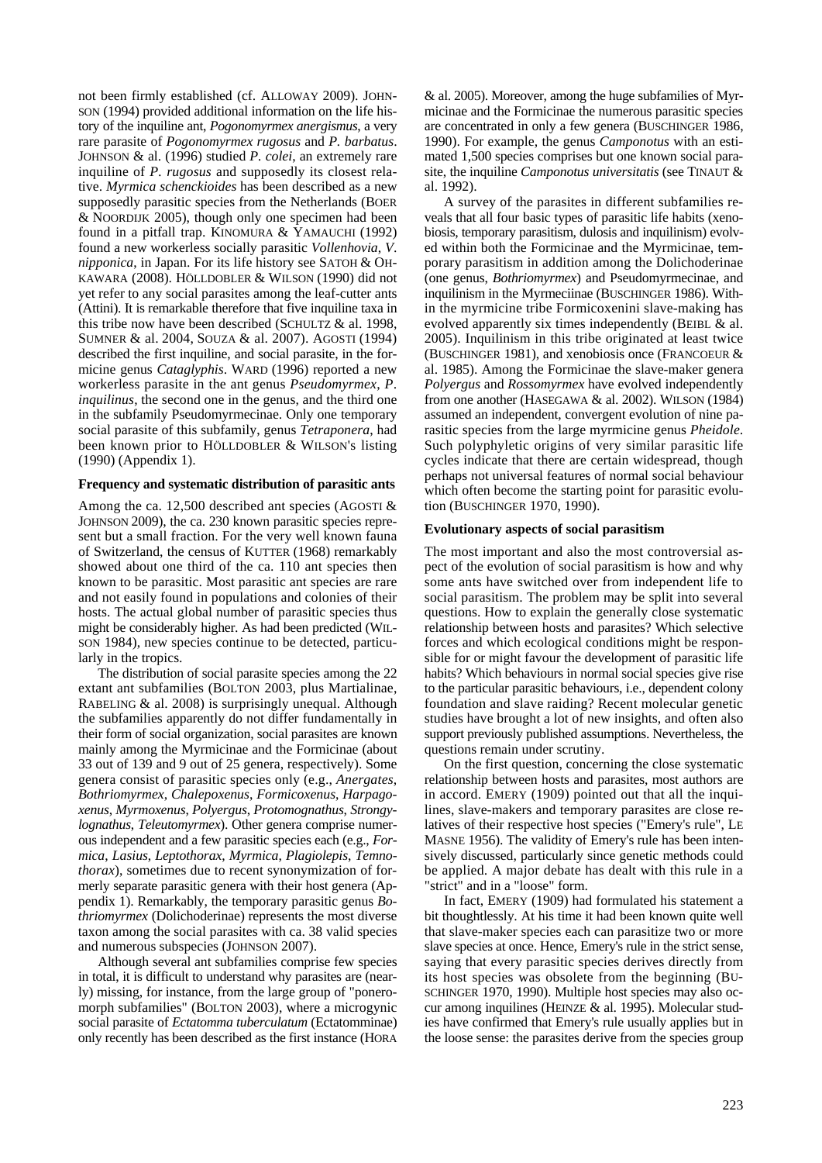not been firmly established (cf. ALLOWAY 2009). JOHN-SON (1994) provided additional information on the life history of the inquiline ant, *Pogonomyrmex anergismus*, a very rare parasite of *Pogonomyrmex rugosus* and *P. barbatus*. JOHNSON & al. (1996) studied *P. colei*, an extremely rare inquiline of *P. rugosus* and supposedly its closest relative. *Myrmica schenckioides* has been described as a new supposedly parasitic species from the Netherlands (BOER & NOORDIJK 2005), though only one specimen had been found in a pitfall trap. KINOMURA & YAMAUCHI (1992) found a new workerless socially parasitic *Vollenhovia*, *V*. *nipponica*, in Japan. For its life history see SATOH & OH-KAWARA (2008). HÖLLDOBLER & WILSON (1990) did not yet refer to any social parasites among the leaf-cutter ants (Attini). It is remarkable therefore that five inquiline taxa in this tribe now have been described (SCHULTZ & al. 1998, SUMNER & al. 2004, SOUZA & al. 2007). AGOSTI (1994) described the first inquiline, and social parasite, in the formicine genus *Cataglyphis*. WARD (1996) reported a new workerless parasite in the ant genus *Pseudomyrmex*, *P*. *inquilinus*, the second one in the genus, and the third one in the subfamily Pseudomyrmecinae. Only one temporary social parasite of this subfamily, genus *Tetraponera*, had been known prior to HÖLLDOBLER & WILSON's listing (1990) (Appendix 1).

#### **Frequency and systematic distribution of parasitic ants**

Among the ca. 12,500 described ant species (AGOSTI & JOHNSON 2009), the ca. 230 known parasitic species represent but a small fraction. For the very well known fauna of Switzerland, the census of KUTTER (1968) remarkably showed about one third of the ca. 110 ant species then known to be parasitic. Most parasitic ant species are rare and not easily found in populations and colonies of their hosts. The actual global number of parasitic species thus might be considerably higher. As had been predicted (WIL-SON 1984), new species continue to be detected, particularly in the tropics.

The distribution of social parasite species among the 22 extant ant subfamilies (BOLTON 2003, plus Martialinae, RABELING & al. 2008) is surprisingly unequal. Although the subfamilies apparently do not differ fundamentally in their form of social organization, social parasites are known mainly among the Myrmicinae and the Formicinae (about 33 out of 139 and 9 out of 25 genera, respectively). Some genera consist of parasitic species only (e.g., *Anergates*, *Bothriomyrmex*, *Chalepoxenus*, *Formicoxenus*, *Harpagoxenus*, *Myrmoxenus*, *Polyergus*, *Protomognathus*, *Strongylognathus*, *Teleutomyrmex*). Other genera comprise numerous independent and a few parasitic species each (e.g., *Formica*, *Lasius*, *Leptothorax*, *Myrmica*, *Plagiolepis*, *Temnothorax*), sometimes due to recent synonymization of formerly separate parasitic genera with their host genera (Appendix 1). Remarkably, the temporary parasitic genus *Bothriomyrmex* (Dolichoderinae) represents the most diverse taxon among the social parasites with ca. 38 valid species and numerous subspecies (JOHNSON 2007).

Although several ant subfamilies comprise few species in total, it is difficult to understand why parasites are (nearly) missing, for instance, from the large group of "poneromorph subfamilies" (BOLTON 2003), where a microgynic social parasite of *Ectatomma tuberculatum* (Ectatomminae) only recently has been described as the first instance (HORA

& al. 2005). Moreover, among the huge subfamilies of Myrmicinae and the Formicinae the numerous parasitic species are concentrated in only a few genera (BUSCHINGER 1986, 1990). For example, the genus *Camponotus* with an estimated 1,500 species comprises but one known social parasite, the inquiline *Camponotus universitatis* (see TINAUT & al. 1992).

A survey of the parasites in different subfamilies reveals that all four basic types of parasitic life habits (xenobiosis, temporary parasitism, dulosis and inquilinism) evolved within both the Formicinae and the Myrmicinae, temporary parasitism in addition among the Dolichoderinae (one genus, *Bothriomyrmex*) and Pseudomyrmecinae, and inquilinism in the Myrmeciinae (BUSCHINGER 1986). Within the myrmicine tribe Formicoxenini slave-making has evolved apparently six times independently (BEIBL & al. 2005). Inquilinism in this tribe originated at least twice (BUSCHINGER 1981), and xenobiosis once (FRANCOEUR & al. 1985). Among the Formicinae the slave-maker genera *Polyergus* and *Rossomyrmex* have evolved independently from one another (HASEGAWA & al. 2002). WILSON (1984) assumed an independent, convergent evolution of nine parasitic species from the large myrmicine genus *Pheidole*. Such polyphyletic origins of very similar parasitic life cycles indicate that there are certain widespread, though perhaps not universal features of normal social behaviour which often become the starting point for parasitic evolution (BUSCHINGER 1970, 1990).

# **Evolutionary aspects of social parasitism**

The most important and also the most controversial aspect of the evolution of social parasitism is how and why some ants have switched over from independent life to social parasitism. The problem may be split into several questions. How to explain the generally close systematic relationship between hosts and parasites? Which selective forces and which ecological conditions might be responsible for or might favour the development of parasitic life habits? Which behaviours in normal social species give rise to the particular parasitic behaviours, i.e., dependent colony foundation and slave raiding? Recent molecular genetic studies have brought a lot of new insights, and often also support previously published assumptions. Nevertheless, the questions remain under scrutiny.

On the first question, concerning the close systematic relationship between hosts and parasites, most authors are in accord. EMERY (1909) pointed out that all the inquilines, slave-makers and temporary parasites are close relatives of their respective host species ("Emery's rule", LE MASNE 1956). The validity of Emery's rule has been intensively discussed, particularly since genetic methods could be applied. A major debate has dealt with this rule in a "strict" and in a "loose" form.

In fact, EMERY (1909) had formulated his statement a bit thoughtlessly. At his time it had been known quite well that slave-maker species each can parasitize two or more slave species at once. Hence, Emery's rule in the strict sense, saying that every parasitic species derives directly from its host species was obsolete from the beginning (BU-SCHINGER 1970, 1990). Multiple host species may also occur among inquilines (HEINZE & al. 1995). Molecular studies have confirmed that Emery's rule usually applies but in the loose sense: the parasites derive from the species group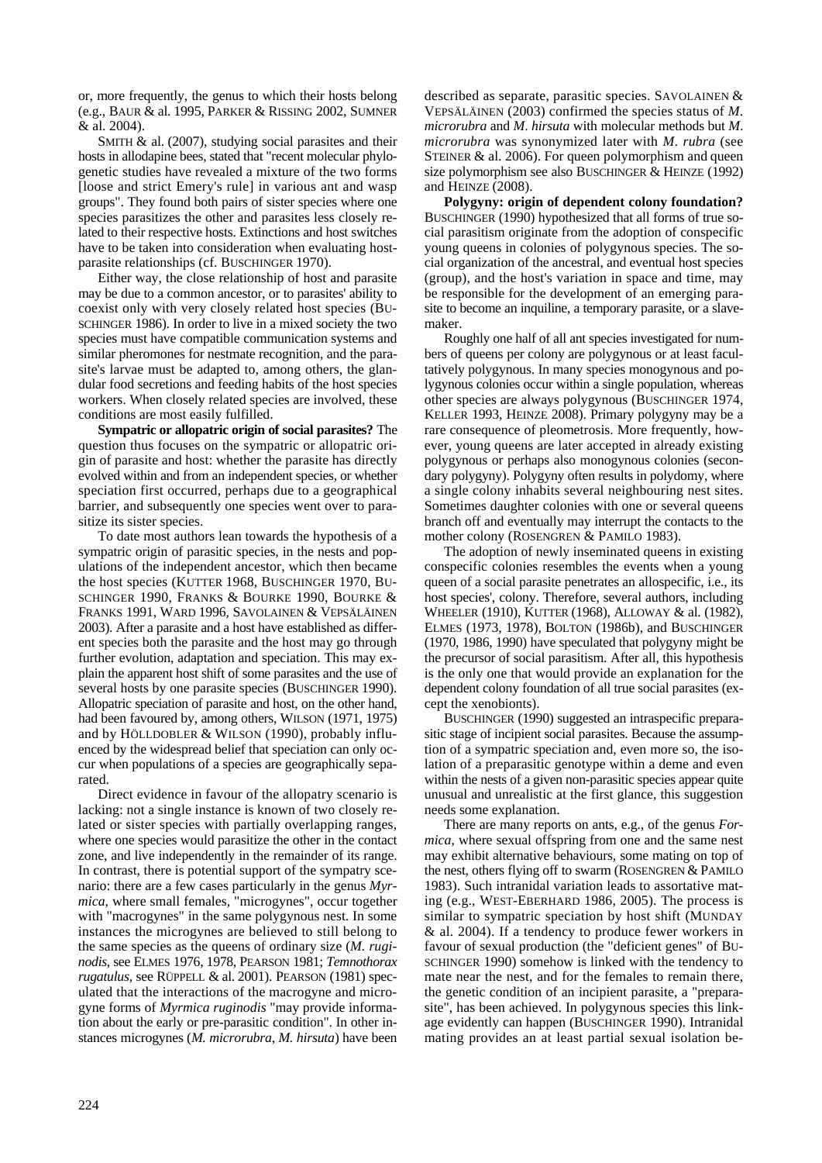or, more frequently, the genus to which their hosts belong (e.g., BAUR & al. 1995, PARKER & RISSING 2002, SUMNER & al. 2004).

SMITH & al. (2007), studying social parasites and their hosts in allodapine bees, stated that "recent molecular phylogenetic studies have revealed a mixture of the two forms [loose and strict Emery's rule] in various ant and wasp groups". They found both pairs of sister species where one species parasitizes the other and parasites less closely related to their respective hosts. Extinctions and host switches have to be taken into consideration when evaluating hostparasite relationships (cf. BUSCHINGER 1970).

Either way, the close relationship of host and parasite may be due to a common ancestor, or to parasites' ability to coexist only with very closely related host species (BU-SCHINGER 1986). In order to live in a mixed society the two species must have compatible communication systems and similar pheromones for nestmate recognition, and the parasite's larvae must be adapted to, among others, the glandular food secretions and feeding habits of the host species workers. When closely related species are involved, these conditions are most easily fulfilled.

**Sympatric or allopatric origin of social parasites?** The question thus focuses on the sympatric or allopatric origin of parasite and host: whether the parasite has directly evolved within and from an independent species, or whether speciation first occurred, perhaps due to a geographical barrier, and subsequently one species went over to parasitize its sister species.

To date most authors lean towards the hypothesis of a sympatric origin of parasitic species, in the nests and populations of the independent ancestor, which then became the host species (KUTTER 1968, BUSCHINGER 1970, BU-SCHINGER 1990, FRANKS & BOURKE 1990, BOURKE & FRANKS 1991, WARD 1996, SAVOLAINEN & VEPSÄLÄINEN 2003). After a parasite and a host have established as different species both the parasite and the host may go through further evolution, adaptation and speciation. This may explain the apparent host shift of some parasites and the use of several hosts by one parasite species (BUSCHINGER 1990). Allopatric speciation of parasite and host, on the other hand, had been favoured by, among others, WILSON (1971, 1975) and by HÖLLDOBLER & WILSON (1990), probably influenced by the widespread belief that speciation can only occur when populations of a species are geographically separated.

Direct evidence in favour of the allopatry scenario is lacking: not a single instance is known of two closely related or sister species with partially overlapping ranges, where one species would parasitize the other in the contact zone, and live independently in the remainder of its range. In contrast, there is potential support of the sympatry scenario: there are a few cases particularly in the genus *Myrmica*, where small females, "microgynes", occur together with "macrogynes" in the same polygynous nest. In some instances the microgynes are believed to still belong to the same species as the queens of ordinary size (*M. ruginodis*, see ELMES 1976, 1978, PEARSON 1981; *Temnothorax rugatulus*, see RÜPPELL & al. 2001). PEARSON (1981) speculated that the interactions of the macrogyne and microgyne forms of *Myrmica ruginodis* "may provide information about the early or pre-parasitic condition". In other instances microgynes (*M. microrubra*, *M. hirsuta*) have been

described as separate, parasitic species. SAVOLAINEN & VEPSÄLÄINEN (2003) confirmed the species status of *M*. *microrubra* and *M*. *hirsuta* with molecular methods but *M*. *microrubra* was synonymized later with *M*. *rubra* (see STEINER & al. 2006). For queen polymorphism and queen size polymorphism see also BUSCHINGER & HEINZE (1992) and HEINZE (2008).

**Polygyny: origin of dependent colony foundation?**  BUSCHINGER (1990) hypothesized that all forms of true social parasitism originate from the adoption of conspecific young queens in colonies of polygynous species. The social organization of the ancestral, and eventual host species (group), and the host's variation in space and time, may be responsible for the development of an emerging parasite to become an inquiline, a temporary parasite, or a slavemaker.

Roughly one half of all ant species investigated for numbers of queens per colony are polygynous or at least facultatively polygynous. In many species monogynous and polygynous colonies occur within a single population, whereas other species are always polygynous (BUSCHINGER 1974, KELLER 1993, HEINZE 2008). Primary polygyny may be a rare consequence of pleometrosis. More frequently, however, young queens are later accepted in already existing polygynous or perhaps also monogynous colonies (secondary polygyny). Polygyny often results in polydomy, where a single colony inhabits several neighbouring nest sites. Sometimes daughter colonies with one or several queens branch off and eventually may interrupt the contacts to the mother colony (ROSENGREN & PAMILO 1983).

The adoption of newly inseminated queens in existing conspecific colonies resembles the events when a young queen of a social parasite penetrates an allospecific, i.e., its host species', colony. Therefore, several authors, including WHEELER (1910), KUTTER (1968), ALLOWAY & al. (1982), ELMES (1973, 1978), BOLTON (1986b), and BUSCHINGER (1970, 1986, 1990) have speculated that polygyny might be the precursor of social parasitism. After all, this hypothesis is the only one that would provide an explanation for the dependent colony foundation of all true social parasites (except the xenobionts).

BUSCHINGER (1990) suggested an intraspecific preparasitic stage of incipient social parasites. Because the assumption of a sympatric speciation and, even more so, the isolation of a preparasitic genotype within a deme and even within the nests of a given non-parasitic species appear quite unusual and unrealistic at the first glance, this suggestion needs some explanation.

There are many reports on ants, e.g., of the genus *Formica*, where sexual offspring from one and the same nest may exhibit alternative behaviours, some mating on top of the nest, others flying off to swarm (ROSENGREN & PAMILO 1983). Such intranidal variation leads to assortative mating (e.g., WEST-EBERHARD 1986, 2005). The process is similar to sympatric speciation by host shift (MUNDAY & al. 2004). If a tendency to produce fewer workers in favour of sexual production (the "deficient genes" of BU-SCHINGER 1990) somehow is linked with the tendency to mate near the nest, and for the females to remain there, the genetic condition of an incipient parasite, a "preparasite", has been achieved. In polygynous species this linkage evidently can happen (BUSCHINGER 1990). Intranidal mating provides an at least partial sexual isolation be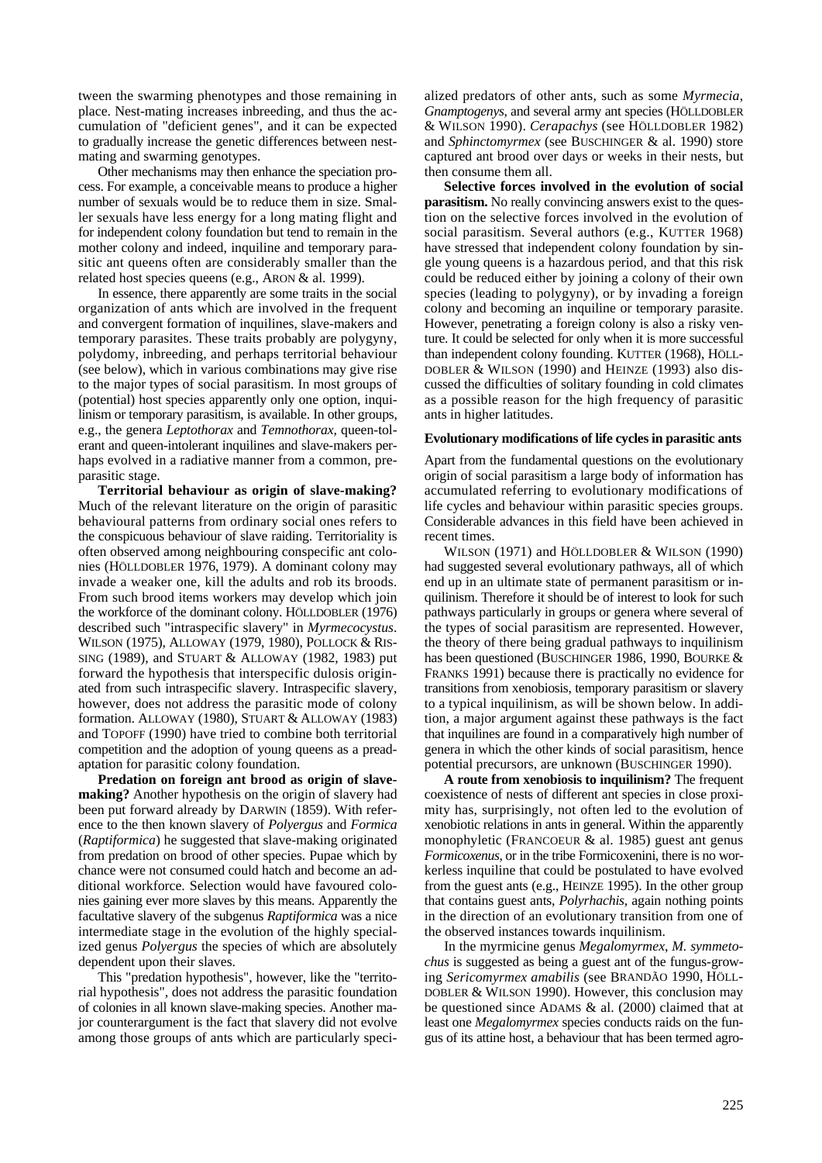tween the swarming phenotypes and those remaining in place. Nest-mating increases inbreeding, and thus the accumulation of "deficient genes", and it can be expected to gradually increase the genetic differences between nestmating and swarming genotypes.

Other mechanisms may then enhance the speciation process. For example, a conceivable means to produce a higher number of sexuals would be to reduce them in size. Smaller sexuals have less energy for a long mating flight and for independent colony foundation but tend to remain in the mother colony and indeed, inquiline and temporary parasitic ant queens often are considerably smaller than the related host species queens (e.g., ARON & al. 1999).

In essence, there apparently are some traits in the social organization of ants which are involved in the frequent and convergent formation of inquilines, slave-makers and temporary parasites. These traits probably are polygyny, polydomy, inbreeding, and perhaps territorial behaviour (see below), which in various combinations may give rise to the major types of social parasitism. In most groups of (potential) host species apparently only one option, inquilinism or temporary parasitism, is available. In other groups, e.g., the genera *Leptothorax* and *Temnothorax*, queen-tolerant and queen-intolerant inquilines and slave-makers perhaps evolved in a radiative manner from a common, preparasitic stage.

**Territorial behaviour as origin of slave-making?**  Much of the relevant literature on the origin of parasitic behavioural patterns from ordinary social ones refers to the conspicuous behaviour of slave raiding. Territoriality is often observed among neighbouring conspecific ant colonies (HÖLLDOBLER 1976, 1979). A dominant colony may invade a weaker one, kill the adults and rob its broods. From such brood items workers may develop which join the workforce of the dominant colony. HÖLLDOBLER (1976) described such "intraspecific slavery" in *Myrmecocystus*. WILSON (1975), ALLOWAY (1979, 1980), POLLOCK & RIS-SING (1989), and STUART & ALLOWAY (1982, 1983) put forward the hypothesis that interspecific dulosis originated from such intraspecific slavery. Intraspecific slavery, however, does not address the parasitic mode of colony formation. ALLOWAY (1980), STUART & ALLOWAY (1983) and TOPOFF (1990) have tried to combine both territorial competition and the adoption of young queens as a preadaptation for parasitic colony foundation.

**Predation on foreign ant brood as origin of slavemaking?** Another hypothesis on the origin of slavery had been put forward already by DARWIN (1859). With reference to the then known slavery of *Polyergus* and *Formica*  (*Raptiformica*) he suggested that slave-making originated from predation on brood of other species. Pupae which by chance were not consumed could hatch and become an additional workforce. Selection would have favoured colonies gaining ever more slaves by this means. Apparently the facultative slavery of the subgenus *Raptiformica* was a nice intermediate stage in the evolution of the highly specialized genus *Polyergus* the species of which are absolutely dependent upon their slaves.

This "predation hypothesis", however, like the "territorial hypothesis", does not address the parasitic foundation of colonies in all known slave-making species. Another major counterargument is the fact that slavery did not evolve among those groups of ants which are particularly specialized predators of other ants, such as some *Myrmecia*, *Gnamptogenys*, and several army ant species (HÖLLDOBLER & WILSON 1990). *Cerapachys* (see HÖLLDOBLER 1982) and *Sphinctomyrmex* (see BUSCHINGER & al. 1990) store captured ant brood over days or weeks in their nests, but then consume them all.

**Selective forces involved in the evolution of social parasitism.** No really convincing answers exist to the question on the selective forces involved in the evolution of social parasitism. Several authors (e.g., KUTTER 1968) have stressed that independent colony foundation by single young queens is a hazardous period, and that this risk could be reduced either by joining a colony of their own species (leading to polygyny), or by invading a foreign colony and becoming an inquiline or temporary parasite. However, penetrating a foreign colony is also a risky venture. It could be selected for only when it is more successful than independent colony founding. KUTTER (1968), HÖLL-DOBLER & WILSON (1990) and HEINZE (1993) also discussed the difficulties of solitary founding in cold climates as a possible reason for the high frequency of parasitic ants in higher latitudes.

#### **Evolutionary modifications of life cycles in parasitic ants**

Apart from the fundamental questions on the evolutionary origin of social parasitism a large body of information has accumulated referring to evolutionary modifications of life cycles and behaviour within parasitic species groups. Considerable advances in this field have been achieved in recent times.

WILSON (1971) and HÖLLDOBLER & WILSON (1990) had suggested several evolutionary pathways, all of which end up in an ultimate state of permanent parasitism or inquilinism. Therefore it should be of interest to look for such pathways particularly in groups or genera where several of the types of social parasitism are represented. However, the theory of there being gradual pathways to inquilinism has been questioned (BUSCHINGER 1986, 1990, BOURKE & FRANKS 1991) because there is practically no evidence for transitions from xenobiosis, temporary parasitism or slavery to a typical inquilinism, as will be shown below. In addition, a major argument against these pathways is the fact that inquilines are found in a comparatively high number of genera in which the other kinds of social parasitism, hence potential precursors, are unknown (BUSCHINGER 1990).

**A route from xenobiosis to inquilinism?** The frequent coexistence of nests of different ant species in close proximity has, surprisingly, not often led to the evolution of xenobiotic relations in ants in general. Within the apparently monophyletic (FRANCOEUR & al. 1985) guest ant genus *Formicoxenus*, or in the tribe Formicoxenini, there is no workerless inquiline that could be postulated to have evolved from the guest ants (e.g., HEINZE 1995). In the other group that contains guest ants, *Polyrhachis*, again nothing points in the direction of an evolutionary transition from one of the observed instances towards inquilinism.

In the myrmicine genus *Megalomyrmex*, *M. symmetochus* is suggested as being a guest ant of the fungus-growing *Sericomyrmex amabilis* (see BRANDÃO 1990, HÖLL-DOBLER & WILSON 1990). However, this conclusion may be questioned since ADAMS & al. (2000) claimed that at least one *Megalomyrmex* species conducts raids on the fungus of its attine host, a behaviour that has been termed agro-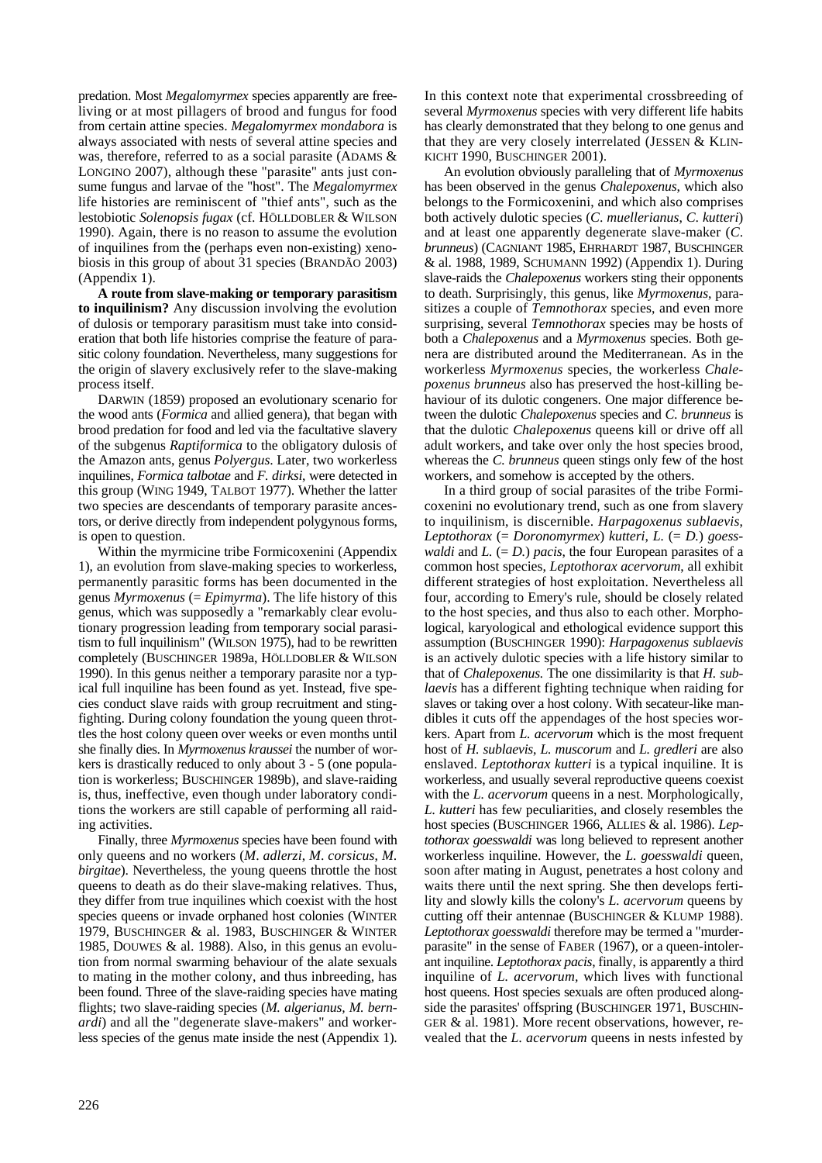predation. Most *Megalomyrmex* species apparently are freeliving or at most pillagers of brood and fungus for food from certain attine species. *Megalomyrmex mondabora* is always associated with nests of several attine species and was, therefore, referred to as a social parasite (ADAMS & LONGINO 2007), although these "parasite" ants just consume fungus and larvae of the "host". The *Megalomyrmex* life histories are reminiscent of "thief ants", such as the lestobiotic *Solenopsis fugax* (cf. HÖLLDOBLER & WILSON 1990). Again, there is no reason to assume the evolution of inquilines from the (perhaps even non-existing) xenobiosis in this group of about 31 species (BRANDÃO 2003) (Appendix 1).

**A route from slave-making or temporary parasitism to inquilinism?** Any discussion involving the evolution of dulosis or temporary parasitism must take into consideration that both life histories comprise the feature of parasitic colony foundation. Nevertheless, many suggestions for the origin of slavery exclusively refer to the slave-making process itself.

DARWIN (1859) proposed an evolutionary scenario for the wood ants (*Formica* and allied genera), that began with brood predation for food and led via the facultative slavery of the subgenus *Raptiformica* to the obligatory dulosis of the Amazon ants, genus *Polyergus*. Later, two workerless inquilines, *Formica talbotae* and *F. dirksi*, were detected in this group (WING 1949, TALBOT 1977). Whether the latter two species are descendants of temporary parasite ancestors, or derive directly from independent polygynous forms, is open to question.

Within the myrmicine tribe Formicoxenini (Appendix 1), an evolution from slave-making species to workerless, permanently parasitic forms has been documented in the genus *Myrmoxenus* (= *Epimyrma*). The life history of this genus, which was supposedly a "remarkably clear evolutionary progression leading from temporary social parasitism to full inquilinism" (WILSON 1975), had to be rewritten completely (BUSCHINGER 1989a, HÖLLDOBLER & WILSON 1990). In this genus neither a temporary parasite nor a typical full inquiline has been found as yet. Instead, five species conduct slave raids with group recruitment and stingfighting. During colony foundation the young queen throttles the host colony queen over weeks or even months until she finally dies. In *Myrmoxenus kraussei* the number of workers is drastically reduced to only about 3 - 5 (one population is workerless; BUSCHINGER 1989b), and slave-raiding is, thus, ineffective, even though under laboratory conditions the workers are still capable of performing all raiding activities.

Finally, three *Myrmoxenus* species have been found with only queens and no workers (*M*. *adlerzi*, *M*. *corsicus*, *M*. *birgitae*). Nevertheless, the young queens throttle the host queens to death as do their slave-making relatives. Thus, they differ from true inquilines which coexist with the host species queens or invade orphaned host colonies (WINTER 1979, BUSCHINGER & al. 1983, BUSCHINGER & WINTER 1985, DOUWES & al. 1988). Also, in this genus an evolution from normal swarming behaviour of the alate sexuals to mating in the mother colony, and thus inbreeding, has been found. Three of the slave-raiding species have mating flights; two slave-raiding species (*M. algerianus, M. bernardi*) and all the "degenerate slave-makers" and workerless species of the genus mate inside the nest (Appendix 1).

In this context note that experimental crossbreeding of several *Myrmoxenus* species with very different life habits has clearly demonstrated that they belong to one genus and that they are very closely interrelated (JESSEN & KLIN-KICHT 1990, BUSCHINGER 2001).

An evolution obviously paralleling that of *Myrmoxenus* has been observed in the genus *Chalepoxenus*, which also belongs to the Formicoxenini, and which also comprises both actively dulotic species (*C*. *muellerianus*, *C*. *kutteri*) and at least one apparently degenerate slave-maker (*C*. *brunneus*) (CAGNIANT 1985, EHRHARDT 1987, BUSCHINGER & al. 1988, 1989, SCHUMANN 1992) (Appendix 1). During slave-raids the *Chalepoxenus* workers sting their opponents to death. Surprisingly, this genus, like *Myrmoxenus*, parasitizes a couple of *Temnothorax* species, and even more surprising, several *Temnothorax* species may be hosts of both a *Chalepoxenus* and a *Myrmoxenus* species. Both genera are distributed around the Mediterranean. As in the workerless *Myrmoxenus* species, the workerless *Chalepoxenus brunneus* also has preserved the host-killing behaviour of its dulotic congeners. One major difference between the dulotic *Chalepoxenus* species and *C*. *brunneus* is that the dulotic *Chalepoxenus* queens kill or drive off all adult workers, and take over only the host species brood, whereas the *C. brunneus* queen stings only few of the host workers, and somehow is accepted by the others.

In a third group of social parasites of the tribe Formicoxenini no evolutionary trend, such as one from slavery to inquilinism, is discernible. *Harpagoxenus sublaevis*, *Leptothorax* (= *Doronomyrmex*) *kutteri*, *L.* (= *D.*) *goesswaldi* and  $L$ . (=  $D$ .) *pacis*, the four European parasites of a common host species, *Leptothorax acervorum*, all exhibit different strategies of host exploitation. Nevertheless all four, according to Emery's rule, should be closely related to the host species, and thus also to each other. Morphological, karyological and ethological evidence support this assumption (BUSCHINGER 1990): *Harpagoxenus sublaevis* is an actively dulotic species with a life history similar to that of *Chalepoxenus.* The one dissimilarity is that *H. sublaevis* has a different fighting technique when raiding for slaves or taking over a host colony. With secateur-like mandibles it cuts off the appendages of the host species workers. Apart from *L. acervorum* which is the most frequent host of *H. sublaevis*, *L. muscorum* and *L. gredleri* are also enslaved. *Leptothorax kutteri* is a typical inquiline. It is workerless, and usually several reproductive queens coexist with the *L. acervorum* queens in a nest. Morphologically, *L. kutteri* has few peculiarities, and closely resembles the host species (BUSCHINGER 1966, ALLIES & al. 1986). *Leptothorax goesswaldi* was long believed to represent another workerless inquiline. However, the *L. goesswaldi* queen, soon after mating in August, penetrates a host colony and waits there until the next spring. She then develops fertility and slowly kills the colony's *L. acervorum* queens by cutting off their antennae (BUSCHINGER & KLUMP 1988). *Leptothorax goesswaldi* therefore may be termed a "murderparasite" in the sense of FABER (1967), or a queen-intolerant inquiline. *Leptothorax pacis*, finally, is apparently a third inquiline of *L. acervorum,* which lives with functional host queens. Host species sexuals are often produced alongside the parasites' offspring (BUSCHINGER 1971, BUSCHIN-GER & al. 1981). More recent observations, however, revealed that the *L. acervorum* queens in nests infested by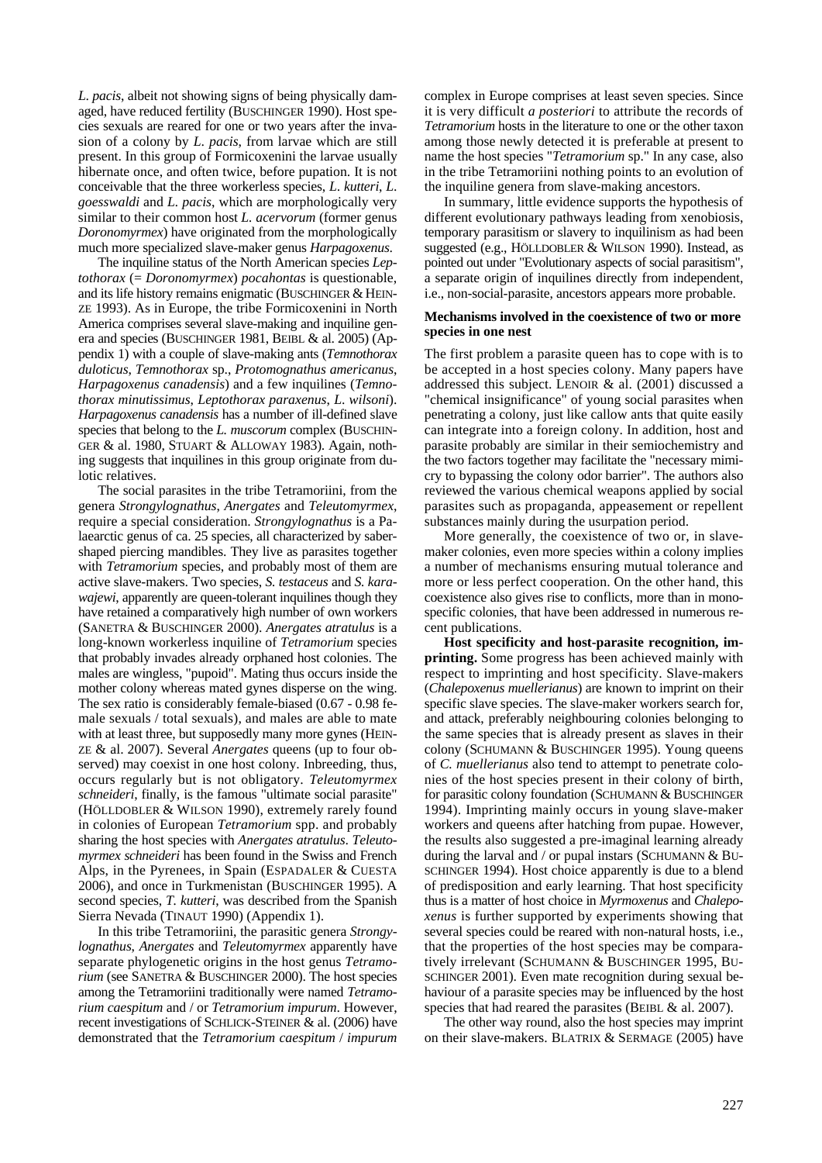*L*. *pacis*, albeit not showing signs of being physically damaged, have reduced fertility (BUSCHINGER 1990). Host species sexuals are reared for one or two years after the invasion of a colony by *L*. *pacis*, from larvae which are still present. In this group of Formicoxenini the larvae usually hibernate once, and often twice, before pupation. It is not conceivable that the three workerless species, *L*. *kutteri*, *L*. *goesswaldi* and *L. pacis*, which are morphologically very similar to their common host *L. acervorum* (former genus *Doronomyrmex*) have originated from the morphologically much more specialized slave-maker genus *Harpagoxenus*.

The inquiline status of the North American species *Leptothorax* (= *Doronomyrmex*) *pocahontas* is questionable, and its life history remains enigmatic (BUSCHINGER & HEIN-ZE 1993). As in Europe, the tribe Formicoxenini in North America comprises several slave-making and inquiline genera and species (BUSCHINGER 1981, BEIBL & al. 2005) (Appendix 1) with a couple of slave-making ants (*Temnothorax duloticus*, *Temnothorax* sp., *Protomognathus americanus*, *Harpagoxenus canadensis*) and a few inquilines (*Temnothorax minutissimus*, *Leptothorax paraxenus*, *L*. *wilsoni*). *Harpagoxenus canadensis* has a number of ill-defined slave species that belong to the *L. muscorum* complex (BUSCHIN-GER & al. 1980, STUART & ALLOWAY 1983). Again, nothing suggests that inquilines in this group originate from dulotic relatives.

The social parasites in the tribe Tetramoriini, from the genera *Strongylognathus*, *Anergates* and *Teleutomyrmex*, require a special consideration. *Strongylognathus* is a Palaearctic genus of ca. 25 species, all characterized by sabershaped piercing mandibles. They live as parasites together with *Tetramorium* species, and probably most of them are active slave-makers. Two species, *S. testaceus* and *S. karawajewi*, apparently are queen-tolerant inquilines though they have retained a comparatively high number of own workers (SANETRA & BUSCHINGER 2000). *Anergates atratulus* is a long-known workerless inquiline of *Tetramorium* species that probably invades already orphaned host colonies. The males are wingless, "pupoid". Mating thus occurs inside the mother colony whereas mated gynes disperse on the wing. The sex ratio is considerably female-biased (0.67 - 0.98 female sexuals / total sexuals), and males are able to mate with at least three, but supposedly many more gynes (HEIN-ZE & al. 2007). Several *Anergates* queens (up to four observed) may coexist in one host colony. Inbreeding, thus, occurs regularly but is not obligatory. *Teleutomyrmex schneideri*, finally, is the famous "ultimate social parasite" (HÖLLDOBLER & WILSON 1990), extremely rarely found in colonies of European *Tetramorium* spp. and probably sharing the host species with *Anergates atratulus*. *Teleutomyrmex schneideri* has been found in the Swiss and French Alps, in the Pyrenees, in Spain (ESPADALER & CUESTA 2006), and once in Turkmenistan (BUSCHINGER 1995). A second species, *T. kutteri*, was described from the Spanish Sierra Nevada (TINAUT 1990) (Appendix 1).

In this tribe Tetramoriini, the parasitic genera *Strongylognathus*, *Anergates* and *Teleutomyrmex* apparently have separate phylogenetic origins in the host genus *Tetramorium* (see SANETRA & BUSCHINGER 2000). The host species among the Tetramoriini traditionally were named *Tetramorium caespitum* and / or *Tetramorium impurum*. However, recent investigations of SCHLICK-STEINER & al. (2006) have demonstrated that the *Tetramorium caespitum* / *impurum*

complex in Europe comprises at least seven species. Since it is very difficult *a posteriori* to attribute the records of *Tetramorium* hosts in the literature to one or the other taxon among those newly detected it is preferable at present to name the host species "*Tetramorium* sp." In any case, also in the tribe Tetramoriini nothing points to an evolution of the inquiline genera from slave-making ancestors.

In summary, little evidence supports the hypothesis of different evolutionary pathways leading from xenobiosis, temporary parasitism or slavery to inquilinism as had been suggested (e.g., HÖLLDOBLER & WILSON 1990). Instead, as pointed out under "Evolutionary aspects of social parasitism", a separate origin of inquilines directly from independent, i.e., non-social-parasite, ancestors appears more probable.

#### **Mechanisms involved in the coexistence of two or more species in one nest**

The first problem a parasite queen has to cope with is to be accepted in a host species colony. Many papers have addressed this subject. LENOIR & al. (2001) discussed a "chemical insignificance" of young social parasites when penetrating a colony, just like callow ants that quite easily can integrate into a foreign colony. In addition, host and parasite probably are similar in their semiochemistry and the two factors together may facilitate the "necessary mimicry to bypassing the colony odor barrier". The authors also reviewed the various chemical weapons applied by social parasites such as propaganda, appeasement or repellent substances mainly during the usurpation period.

More generally, the coexistence of two or, in slavemaker colonies, even more species within a colony implies a number of mechanisms ensuring mutual tolerance and more or less perfect cooperation. On the other hand, this coexistence also gives rise to conflicts, more than in monospecific colonies, that have been addressed in numerous recent publications.

**Host specificity and host-parasite recognition, imprinting.** Some progress has been achieved mainly with respect to imprinting and host specificity. Slave-makers (*Chalepoxenus muellerianus*) are known to imprint on their specific slave species. The slave-maker workers search for, and attack, preferably neighbouring colonies belonging to the same species that is already present as slaves in their colony (SCHUMANN & BUSCHINGER 1995). Young queens of *C. muellerianus* also tend to attempt to penetrate colonies of the host species present in their colony of birth, for parasitic colony foundation (SCHUMANN & BUSCHINGER 1994). Imprinting mainly occurs in young slave-maker workers and queens after hatching from pupae. However, the results also suggested a pre-imaginal learning already during the larval and / or pupal instars (SCHUMANN  $&$  BU-SCHINGER 1994). Host choice apparently is due to a blend of predisposition and early learning. That host specificity thus is a matter of host choice in *Myrmoxenus* and *Chalepoxenus* is further supported by experiments showing that several species could be reared with non-natural hosts, i.e., that the properties of the host species may be comparatively irrelevant (SCHUMANN & BUSCHINGER 1995, BU-SCHINGER 2001). Even mate recognition during sexual behaviour of a parasite species may be influenced by the host species that had reared the parasites (BEIBL & al. 2007).

The other way round, also the host species may imprint on their slave-makers. BLATRIX & SERMAGE (2005) have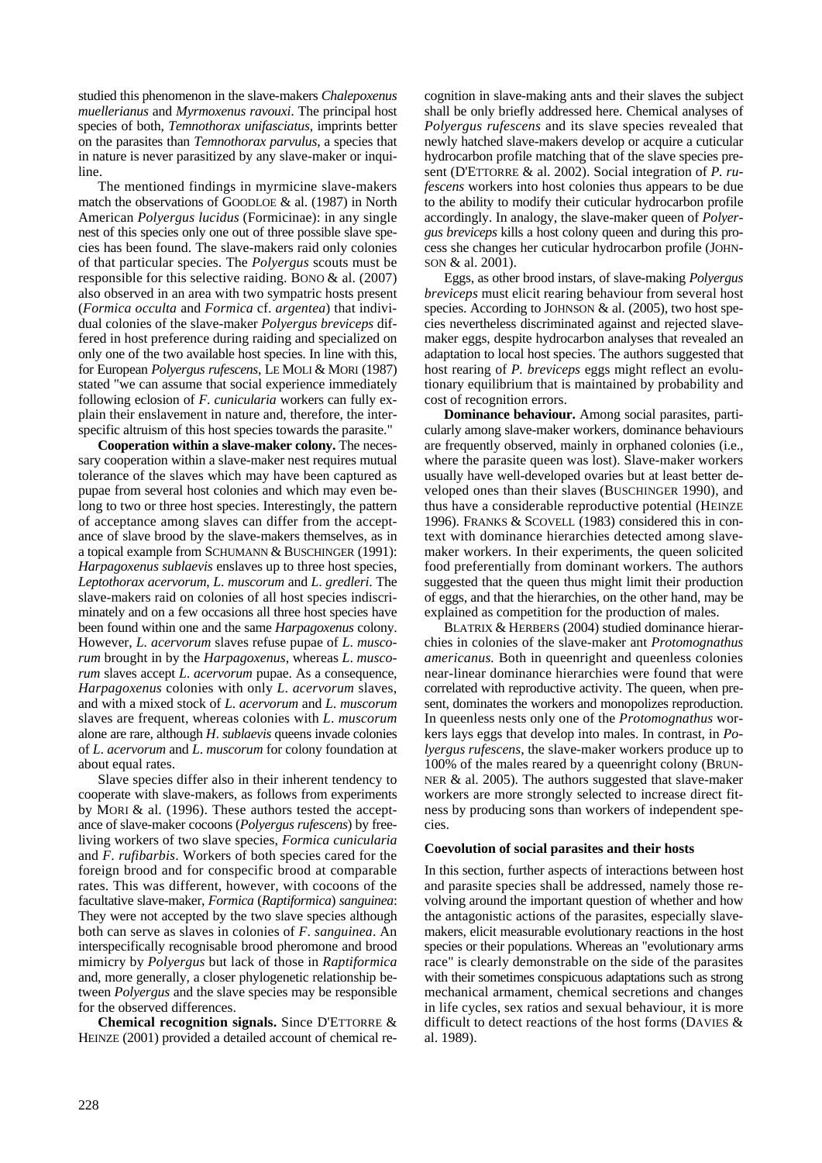studied this phenomenon in the slave-makers *Chalepoxenus muellerianus* and *Myrmoxenus ravouxi*. The principal host species of both, *Temnothorax unifasciatus*, imprints better on the parasites than *Temnothorax parvulus*, a species that in nature is never parasitized by any slave-maker or inquiline.

The mentioned findings in myrmicine slave-makers match the observations of GOODLOE & al. (1987) in North American *Polyergus lucidus* (Formicinae): in any single nest of this species only one out of three possible slave species has been found. The slave-makers raid only colonies of that particular species. The *Polyergus* scouts must be responsible for this selective raiding. BONO & al. (2007) also observed in an area with two sympatric hosts present (*Formica occulta* and *Formica* cf. *argentea*) that individual colonies of the slave-maker *Polyergus breviceps* differed in host preference during raiding and specialized on only one of the two available host species. In line with this, for European *Polyergus rufescens*, LE MOLI & MORI (1987) stated "we can assume that social experience immediately following eclosion of *F*. *cunicularia* workers can fully explain their enslavement in nature and, therefore, the interspecific altruism of this host species towards the parasite."

**Cooperation within a slave-maker colony.** The necessary cooperation within a slave-maker nest requires mutual tolerance of the slaves which may have been captured as pupae from several host colonies and which may even belong to two or three host species. Interestingly, the pattern of acceptance among slaves can differ from the acceptance of slave brood by the slave-makers themselves, as in a topical example from SCHUMANN & BUSCHINGER (1991): *Harpagoxenus sublaevis* enslaves up to three host species, *Leptothorax acervorum*, *L*. *muscorum* and *L*. *gredleri*. The slave-makers raid on colonies of all host species indiscriminately and on a few occasions all three host species have been found within one and the same *Harpagoxenus* colony. However, *L. acervorum* slaves refuse pupae of *L*. *muscorum* brought in by the *Harpagoxenus*, whereas *L*. *muscorum* slaves accept *L*. *acervorum* pupae. As a consequence, *Harpagoxenus* colonies with only *L*. *acervorum* slaves, and with a mixed stock of *L*. *acervorum* and *L*. *muscorum* slaves are frequent, whereas colonies with *L*. *muscorum* alone are rare, although *H*. *sublaevis* queens invade colonies of *L*. *acervorum* and *L*. *muscorum* for colony foundation at about equal rates.

Slave species differ also in their inherent tendency to cooperate with slave-makers, as follows from experiments by MORI & al. (1996). These authors tested the acceptance of slave-maker cocoons (*Polyergus rufescens*) by freeliving workers of two slave species, *Formica cunicularia* and *F*. *rufibarbis*. Workers of both species cared for the foreign brood and for conspecific brood at comparable rates. This was different, however, with cocoons of the facultative slave-maker, *Formica* (*Raptiformica*) *sanguinea*: They were not accepted by the two slave species although both can serve as slaves in colonies of *F*. *sanguinea*. An interspecifically recognisable brood pheromone and brood mimicry by *Polyergus* but lack of those in *Raptiformica* and, more generally, a closer phylogenetic relationship between *Polyergus* and the slave species may be responsible for the observed differences.

**Chemical recognition signals.** Since D'ETTORRE & HEINZE (2001) provided a detailed account of chemical re-

cognition in slave-making ants and their slaves the subject shall be only briefly addressed here. Chemical analyses of *Polyergus rufescens* and its slave species revealed that newly hatched slave-makers develop or acquire a cuticular hydrocarbon profile matching that of the slave species present (D'ETTORRE & al. 2002). Social integration of *P. rufescens* workers into host colonies thus appears to be due to the ability to modify their cuticular hydrocarbon profile accordingly. In analogy, the slave-maker queen of *Polyergus breviceps* kills a host colony queen and during this process she changes her cuticular hydrocarbon profile (JOHN-SON & al. 2001).

Eggs, as other brood instars, of slave-making *Polyergus breviceps* must elicit rearing behaviour from several host species. According to JOHNSON & al. (2005), two host species nevertheless discriminated against and rejected slavemaker eggs, despite hydrocarbon analyses that revealed an adaptation to local host species. The authors suggested that host rearing of *P. breviceps* eggs might reflect an evolutionary equilibrium that is maintained by probability and cost of recognition errors.

**Dominance behaviour.** Among social parasites, particularly among slave-maker workers, dominance behaviours are frequently observed, mainly in orphaned colonies (i.e., where the parasite queen was lost). Slave-maker workers usually have well-developed ovaries but at least better developed ones than their slaves (BUSCHINGER 1990), and thus have a considerable reproductive potential (HEINZE 1996). FRANKS & SCOVELL (1983) considered this in context with dominance hierarchies detected among slavemaker workers. In their experiments, the queen solicited food preferentially from dominant workers. The authors suggested that the queen thus might limit their production of eggs, and that the hierarchies, on the other hand, may be explained as competition for the production of males.

BLATRIX & HERBERS (2004) studied dominance hierarchies in colonies of the slave-maker ant *Protomognathus americanus.* Both in queenright and queenless colonies near-linear dominance hierarchies were found that were correlated with reproductive activity. The queen, when present, dominates the workers and monopolizes reproduction. In queenless nests only one of the *Protomognathus* workers lays eggs that develop into males. In contrast, in *Polyergus rufescens*, the slave-maker workers produce up to 100% of the males reared by a queenright colony (BRUN-NER & al. 2005). The authors suggested that slave-maker workers are more strongly selected to increase direct fitness by producing sons than workers of independent species.

#### **Coevolution of social parasites and their hosts**

In this section, further aspects of interactions between host and parasite species shall be addressed, namely those revolving around the important question of whether and how the antagonistic actions of the parasites, especially slavemakers, elicit measurable evolutionary reactions in the host species or their populations. Whereas an "evolutionary arms race" is clearly demonstrable on the side of the parasites with their sometimes conspicuous adaptations such as strong mechanical armament, chemical secretions and changes in life cycles, sex ratios and sexual behaviour, it is more difficult to detect reactions of the host forms (DAVIES & al. 1989).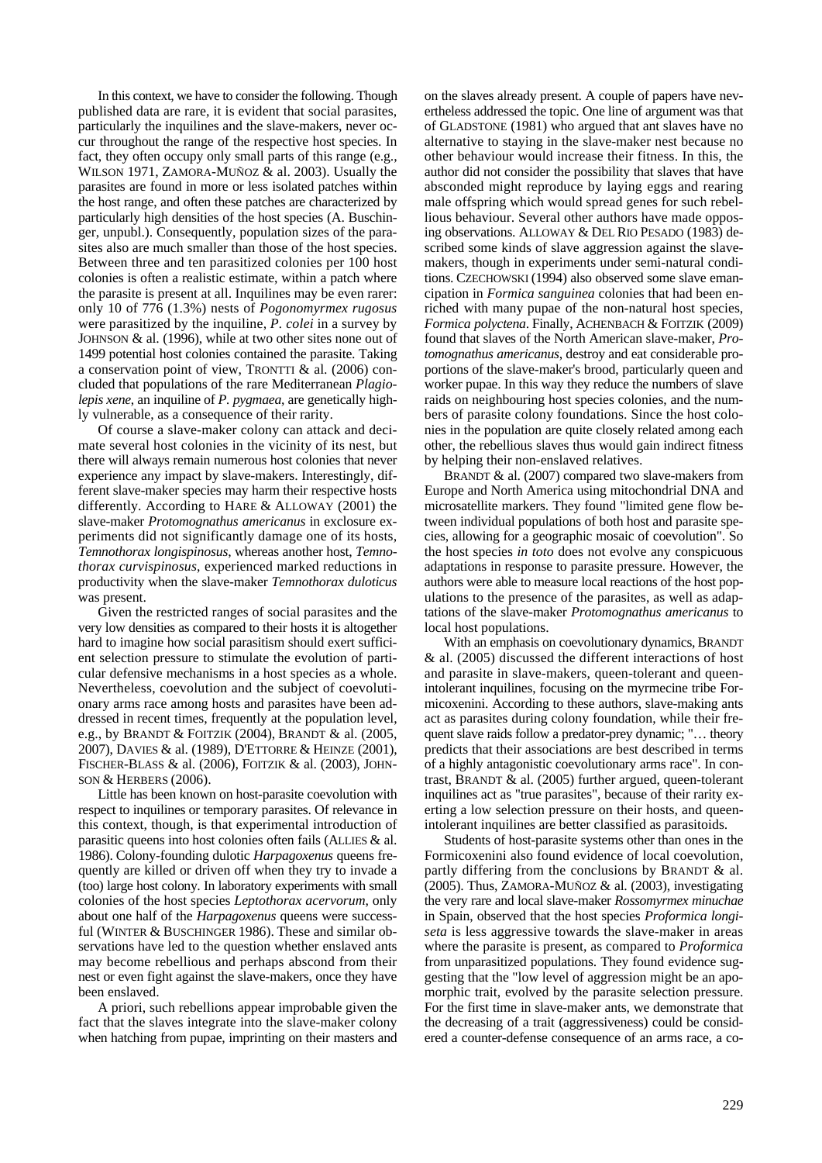In this context, we have to consider the following. Though published data are rare, it is evident that social parasites, particularly the inquilines and the slave-makers, never occur throughout the range of the respective host species. In fact, they often occupy only small parts of this range (e.g., WILSON 1971, ZAMORA-MUÑOZ & al. 2003). Usually the parasites are found in more or less isolated patches within the host range, and often these patches are characterized by particularly high densities of the host species (A. Buschinger, unpubl.). Consequently, population sizes of the parasites also are much smaller than those of the host species. Between three and ten parasitized colonies per 100 host colonies is often a realistic estimate, within a patch where the parasite is present at all. Inquilines may be even rarer: only 10 of 776 (1.3%) nests of *Pogonomyrmex rugosus* were parasitized by the inquiline, *P. colei* in a survey by JOHNSON & al. (1996), while at two other sites none out of 1499 potential host colonies contained the parasite. Taking a conservation point of view, TRONTTI & al. (2006) concluded that populations of the rare Mediterranean *Plagiolepis xene*, an inquiline of *P. pygmaea*, are genetically highly vulnerable, as a consequence of their rarity.

Of course a slave-maker colony can attack and decimate several host colonies in the vicinity of its nest, but there will always remain numerous host colonies that never experience any impact by slave-makers. Interestingly, different slave-maker species may harm their respective hosts differently. According to HARE & ALLOWAY (2001) the slave-maker *Protomognathus americanus* in exclosure experiments did not significantly damage one of its hosts, *Temnothorax longispinosus*, whereas another host, *Temnothorax curvispinosus*, experienced marked reductions in productivity when the slave-maker *Temnothorax duloticus* was present.

Given the restricted ranges of social parasites and the very low densities as compared to their hosts it is altogether hard to imagine how social parasitism should exert sufficient selection pressure to stimulate the evolution of particular defensive mechanisms in a host species as a whole. Nevertheless, coevolution and the subject of coevolutionary arms race among hosts and parasites have been addressed in recent times, frequently at the population level, e.g., by BRANDT & FOITZIK (2004), BRANDT & al. (2005, 2007), DAVIES & al. (1989), D'ETTORRE & HEINZE (2001), FISCHER-BLASS & al. (2006), FOITZIK & al. (2003), JOHN-SON & HERBERS (2006).

Little has been known on host-parasite coevolution with respect to inquilines or temporary parasites. Of relevance in this context, though, is that experimental introduction of parasitic queens into host colonies often fails (ALLIES & al. 1986). Colony-founding dulotic *Harpagoxenus* queens frequently are killed or driven off when they try to invade a (too) large host colony. In laboratory experiments with small colonies of the host species *Leptothorax acervorum*, only about one half of the *Harpagoxenus* queens were successful (WINTER & BUSCHINGER 1986). These and similar observations have led to the question whether enslaved ants may become rebellious and perhaps abscond from their nest or even fight against the slave-makers, once they have been enslaved.

A priori, such rebellions appear improbable given the fact that the slaves integrate into the slave-maker colony when hatching from pupae, imprinting on their masters and

on the slaves already present. A couple of papers have nevertheless addressed the topic. One line of argument was that of GLADSTONE (1981) who argued that ant slaves have no alternative to staying in the slave-maker nest because no other behaviour would increase their fitness. In this, the author did not consider the possibility that slaves that have absconded might reproduce by laying eggs and rearing male offspring which would spread genes for such rebellious behaviour. Several other authors have made opposing observations. ALLOWAY & DEL RIO PESADO (1983) described some kinds of slave aggression against the slavemakers, though in experiments under semi-natural conditions. CZECHOWSKI (1994) also observed some slave emancipation in *Formica sanguinea* colonies that had been enriched with many pupae of the non-natural host species, *Formica polyctena*. Finally, ACHENBACH & FOITZIK (2009) found that slaves of the North American slave-maker, *Protomognathus americanus*, destroy and eat considerable proportions of the slave-maker's brood, particularly queen and worker pupae. In this way they reduce the numbers of slave raids on neighbouring host species colonies, and the numbers of parasite colony foundations. Since the host colonies in the population are quite closely related among each other, the rebellious slaves thus would gain indirect fitness by helping their non-enslaved relatives.

BRANDT & al. (2007) compared two slave-makers from Europe and North America using mitochondrial DNA and microsatellite markers. They found "limited gene flow between individual populations of both host and parasite species, allowing for a geographic mosaic of coevolution". So the host species *in toto* does not evolve any conspicuous adaptations in response to parasite pressure. However, the authors were able to measure local reactions of the host populations to the presence of the parasites, as well as adaptations of the slave-maker *Protomognathus americanus* to local host populations.

With an emphasis on coevolutionary dynamics, BRANDT & al. (2005) discussed the different interactions of host and parasite in slave-makers, queen-tolerant and queenintolerant inquilines, focusing on the myrmecine tribe Formicoxenini. According to these authors, slave-making ants act as parasites during colony foundation, while their frequent slave raids follow a predator-prey dynamic; "… theory predicts that their associations are best described in terms of a highly antagonistic coevolutionary arms race". In contrast, BRANDT & al. (2005) further argued, queen-tolerant inquilines act as "true parasites", because of their rarity exerting a low selection pressure on their hosts, and queenintolerant inquilines are better classified as parasitoids.

Students of host-parasite systems other than ones in the Formicoxenini also found evidence of local coevolution, partly differing from the conclusions by BRANDT  $\&$  al. (2005). Thus, ZAMORA-MUÑOZ & al. (2003), investigating the very rare and local slave-maker *Rossomyrmex minuchae* in Spain, observed that the host species *Proformica longiseta* is less aggressive towards the slave-maker in areas where the parasite is present, as compared to *Proformica* from unparasitized populations. They found evidence suggesting that the "low level of aggression might be an apomorphic trait, evolved by the parasite selection pressure. For the first time in slave-maker ants, we demonstrate that the decreasing of a trait (aggressiveness) could be considered a counter-defense consequence of an arms race, a co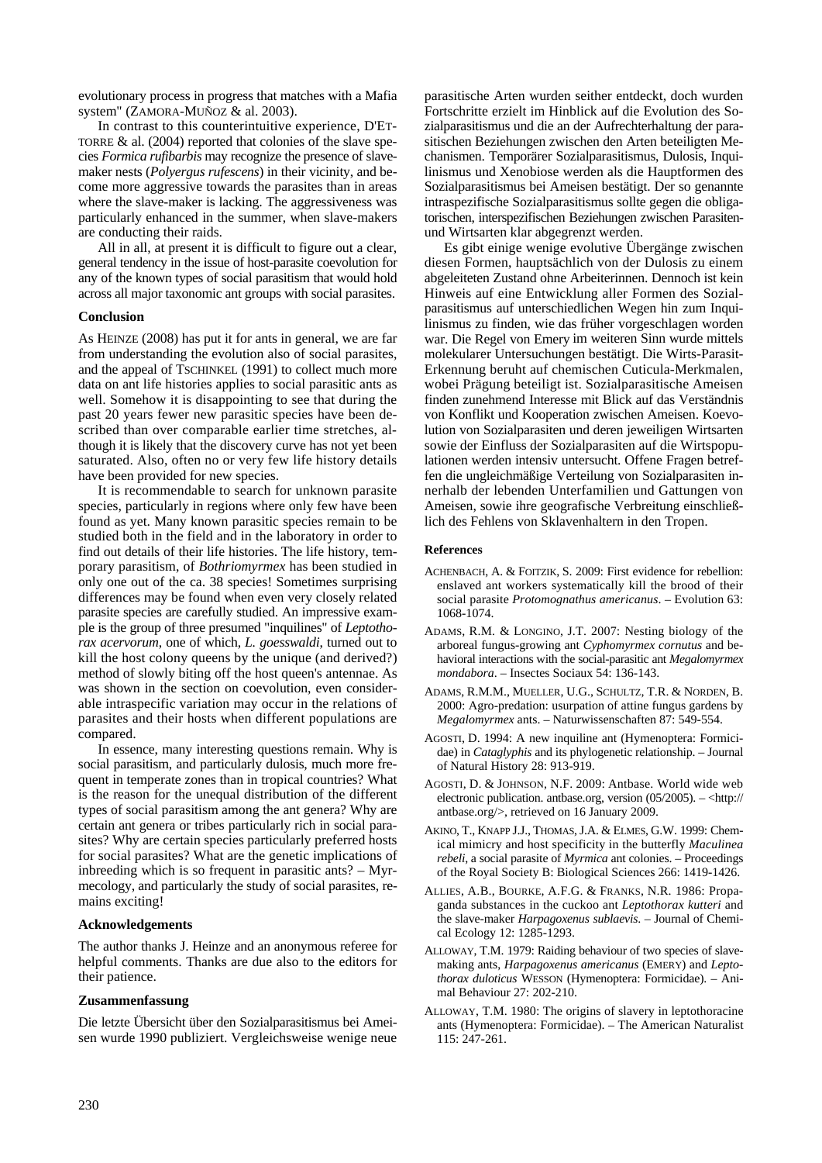evolutionary process in progress that matches with a Mafia system" (ZAMORA-MUÑOZ & al. 2003).

In contrast to this counterintuitive experience, D'ET-TORRE & al. (2004) reported that colonies of the slave species *Formica rufibarbis* may recognize the presence of slavemaker nests (*Polyergus rufescens*) in their vicinity, and become more aggressive towards the parasites than in areas where the slave-maker is lacking. The aggressiveness was particularly enhanced in the summer, when slave-makers are conducting their raids.

All in all, at present it is difficult to figure out a clear, general tendency in the issue of host-parasite coevolution for any of the known types of social parasitism that would hold across all major taxonomic ant groups with social parasites.

#### **Conclusion**

As HEINZE (2008) has put it for ants in general, we are far from understanding the evolution also of social parasites, and the appeal of TSCHINKEL (1991) to collect much more data on ant life histories applies to social parasitic ants as well. Somehow it is disappointing to see that during the past 20 years fewer new parasitic species have been described than over comparable earlier time stretches, although it is likely that the discovery curve has not yet been saturated. Also, often no or very few life history details have been provided for new species.

It is recommendable to search for unknown parasite species, particularly in regions where only few have been found as yet. Many known parasitic species remain to be studied both in the field and in the laboratory in order to find out details of their life histories. The life history, temporary parasitism, of *Bothriomyrmex* has been studied in only one out of the ca. 38 species! Sometimes surprising differences may be found when even very closely related parasite species are carefully studied. An impressive example is the group of three presumed "inquilines" of *Leptothorax acervorum*, one of which, *L. goesswaldi*, turned out to kill the host colony queens by the unique (and derived?) method of slowly biting off the host queen's antennae. As was shown in the section on coevolution, even considerable intraspecific variation may occur in the relations of parasites and their hosts when different populations are compared.

In essence, many interesting questions remain. Why is social parasitism, and particularly dulosis, much more frequent in temperate zones than in tropical countries? What is the reason for the unequal distribution of the different types of social parasitism among the ant genera? Why are certain ant genera or tribes particularly rich in social parasites? Why are certain species particularly preferred hosts for social parasites? What are the genetic implications of inbreeding which is so frequent in parasitic ants? – Myrmecology, and particularly the study of social parasites, remains exciting!

#### **Acknowledgements**

The author thanks J. Heinze and an anonymous referee for helpful comments. Thanks are due also to the editors for their patience.

# **Zusammenfassung**

Die letzte Übersicht über den Sozialparasitismus bei Ameisen wurde 1990 publiziert. Vergleichsweise wenige neue parasitische Arten wurden seither entdeckt, doch wurden Fortschritte erzielt im Hinblick auf die Evolution des Sozialparasitismus und die an der Aufrechterhaltung der parasitischen Beziehungen zwischen den Arten beteiligten Mechanismen. Temporärer Sozialparasitismus, Dulosis, Inquilinismus und Xenobiose werden als die Hauptformen des Sozialparasitismus bei Ameisen bestätigt. Der so genannte intraspezifische Sozialparasitismus sollte gegen die obligatorischen, interspezifischen Beziehungen zwischen Parasitenund Wirtsarten klar abgegrenzt werden.

Es gibt einige wenige evolutive Übergänge zwischen diesen Formen, hauptsächlich von der Dulosis zu einem abgeleiteten Zustand ohne Arbeiterinnen. Dennoch ist kein Hinweis auf eine Entwicklung aller Formen des Sozialparasitismus auf unterschiedlichen Wegen hin zum Inquilinismus zu finden, wie das früher vorgeschlagen worden war. Die Regel von Emery im weiteren Sinn wurde mittels molekularer Untersuchungen bestätigt. Die Wirts-Parasit-Erkennung beruht auf chemischen Cuticula-Merkmalen, wobei Prägung beteiligt ist. Sozialparasitische Ameisen finden zunehmend Interesse mit Blick auf das Verständnis von Konflikt und Kooperation zwischen Ameisen. Koevolution von Sozialparasiten und deren jeweiligen Wirtsarten sowie der Einfluss der Sozialparasiten auf die Wirtspopulationen werden intensiv untersucht. Offene Fragen betreffen die ungleichmäßige Verteilung von Sozialparasiten innerhalb der lebenden Unterfamilien und Gattungen von Ameisen, sowie ihre geografische Verbreitung einschließlich des Fehlens von Sklavenhaltern in den Tropen.

# **References**

- ACHENBACH, A. & FOITZIK, S. 2009: First evidence for rebellion: enslaved ant workers systematically kill the brood of their social parasite *Protomognathus americanus*. – Evolution 63: 1068-1074.
- ADAMS, R.M. & LONGINO, J.T. 2007: Nesting biology of the arboreal fungus-growing ant *Cyphomyrmex cornutus* and behavioral interactions with the social-parasitic ant *Megalomyrmex mondabora*. – Insectes Sociaux 54: 136-143.
- ADAMS, R.M.M., MUELLER, U.G., SCHULTZ, T.R. & NORDEN, B. 2000: Agro-predation: usurpation of attine fungus gardens by *Megalomyrmex* ants. – Naturwissenschaften 87: 549-554.
- AGOSTI, D. 1994: A new inquiline ant (Hymenoptera: Formicidae) in *Cataglyphis* and its phylogenetic relationship. – Journal of Natural History 28: 913-919.
- AGOSTI, D. & JOHNSON, N.F. 2009: Antbase. World wide web electronic publication. antbase.org, version (05/2005). – <http:// antbase.org/>, retrieved on 16 January 2009.
- AKINO, T., KNAPP J.J., THOMAS, J.A. & ELMES, G.W. 1999: Chemical mimicry and host specificity in the butterfly *Maculinea rebeli*, a social parasite of *Myrmica* ant colonies. – Proceedings of the Royal Society B: Biological Sciences 266: 1419-1426.
- ALLIES, A.B., BOURKE, A.F.G. & FRANKS, N.R. 1986: Propaganda substances in the cuckoo ant *Leptothorax kutteri* and the slave-maker *Harpagoxenus sublaevis*. – Journal of Chemical Ecology 12: 1285-1293.
- ALLOWAY, T.M. 1979: Raiding behaviour of two species of slavemaking ants, *Harpagoxenus americanus* (EMERY) and *Leptothorax duloticus* WESSON (Hymenoptera: Formicidae). – Animal Behaviour 27: 202-210.
- ALLOWAY, T.M. 1980: The origins of slavery in leptothoracine ants (Hymenoptera: Formicidae). – The American Naturalist  $115: 247-261$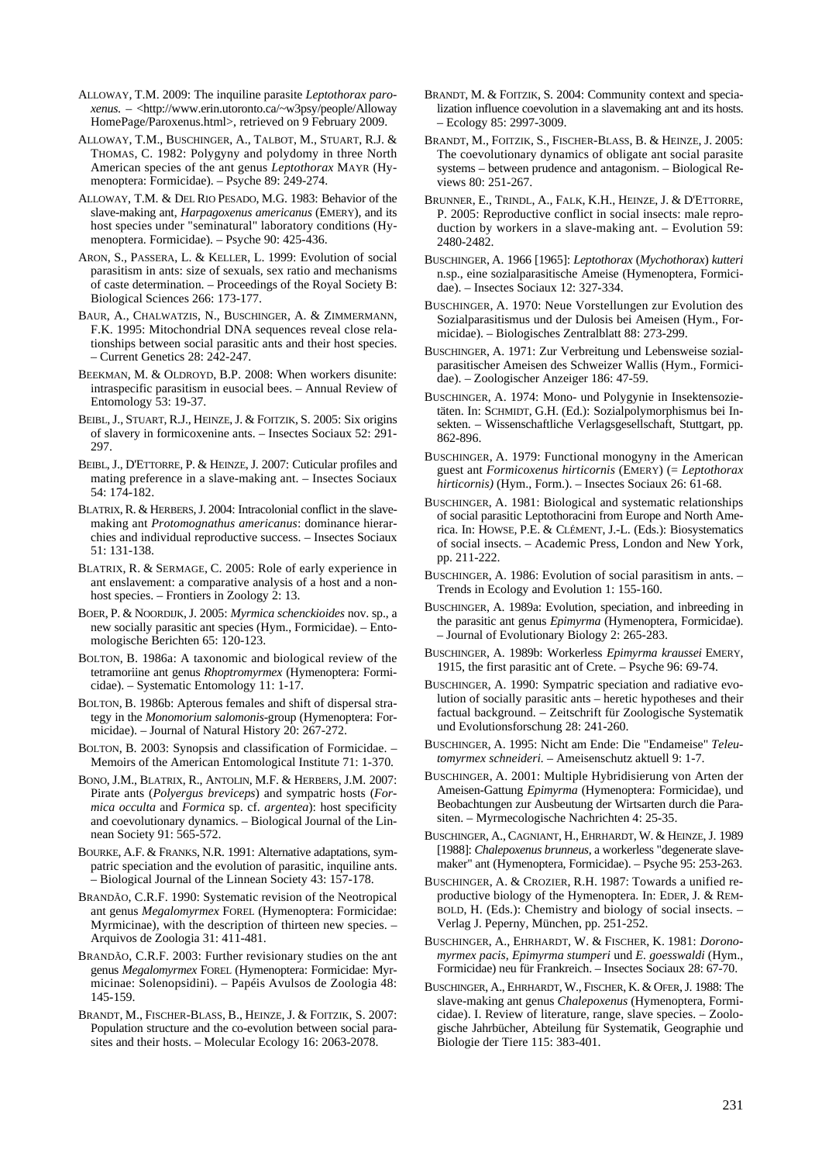- ALLOWAY, T.M. 2009: The inquiline parasite *Leptothorax paroxenus*. – <http://www.erin.utoronto.ca/~w3psy/people/Alloway HomePage/Paroxenus.html>, retrieved on 9 February 2009.
- ALLOWAY, T.M., BUSCHINGER, A., TALBOT, M., STUART, R.J. & THOMAS, C. 1982: Polygyny and polydomy in three North American species of the ant genus *Leptothorax* MAYR (Hymenoptera: Formicidae). – Psyche 89: 249-274.
- ALLOWAY, T.M. & DEL RIO PESADO, M.G. 1983: Behavior of the slave-making ant, *Harpagoxenus americanus* (EMERY), and its host species under "seminatural" laboratory conditions (Hymenoptera. Formicidae). – Psyche 90: 425-436.
- ARON, S., PASSERA, L. & KELLER, L. 1999: Evolution of social parasitism in ants: size of sexuals, sex ratio and mechanisms of caste determination. – Proceedings of the Royal Society B: Biological Sciences 266: 173-177.
- BAUR, A., CHALWATZIS, N., BUSCHINGER, A. & ZIMMERMANN, F.K. 1995: Mitochondrial DNA sequences reveal close relationships between social parasitic ants and their host species. – Current Genetics 28: 242-247.
- BEEKMAN, M. & OLDROYD, B.P. 2008: When workers disunite: intraspecific parasitism in eusocial bees. – Annual Review of Entomology 53: 19-37.
- BEIBL, J., STUART, R.J., HEINZE, J. & FOITZIK, S. 2005: Six origins of slavery in formicoxenine ants. – Insectes Sociaux 52: 291- 297.
- BEIBL, J., D'ETTORRE, P. & HEINZE, J. 2007: Cuticular profiles and mating preference in a slave-making ant. – Insectes Sociaux 54: 174-182.
- BLATRIX, R. & HERBERS, J. 2004: Intracolonial conflict in the slavemaking ant *Protomognathus americanus*: dominance hierarchies and individual reproductive success. – Insectes Sociaux 51: 131-138.
- BLATRIX, R. & SERMAGE, C. 2005: Role of early experience in ant enslavement: a comparative analysis of a host and a nonhost species. – Frontiers in Zoology 2: 13.
- BOER, P. & NOORDIJK,J. 2005: *Myrmica schenckioides* nov. sp., a new socially parasitic ant species (Hym., Formicidae). – Entomologische Berichten 65: 120-123.
- BOLTON, B. 1986a: A taxonomic and biological review of the tetramoriine ant genus *Rhoptromyrmex* (Hymenoptera: Formicidae). – Systematic Entomology 11: 1-17.
- BOLTON, B. 1986b: Apterous females and shift of dispersal strategy in the *Monomorium salomonis*-group (Hymenoptera: Formicidae). – Journal of Natural History 20: 267-272.
- BOLTON, B. 2003: Synopsis and classification of Formicidae. Memoirs of the American Entomological Institute 71: 1-370.
- BONO, J.M., BLATRIX, R., ANTOLIN, M.F. & HERBERS, J.M. 2007: Pirate ants (*Polyergus breviceps*) and sympatric hosts (*Formica occulta* and *Formica* sp. cf. *argentea*): host specificity and coevolutionary dynamics. – Biological Journal of the Linnean Society 91: 565-572.
- BOURKE, A.F. & FRANKS, N.R. 1991: Alternative adaptations, sympatric speciation and the evolution of parasitic, inquiline ants. – Biological Journal of the Linnean Society 43: 157-178.
- BRANDÃO, C.R.F. 1990: Systematic revision of the Neotropical ant genus *Megalomyrmex* FOREL (Hymenoptera: Formicidae: Myrmicinae), with the description of thirteen new species. – Arquivos de Zoologia 31: 411-481.
- BRANDÃO, C.R.F. 2003: Further revisionary studies on the ant genus *Megalomyrmex* FOREL (Hymenoptera: Formicidae: Myrmicinae: Solenopsidini). – Papéis Avulsos de Zoologia 48: 145-159.
- BRANDT, M., FISCHER-BLASS, B., HEINZE, J. & FOITZIK, S. 2007: Population structure and the co-evolution between social parasites and their hosts. – Molecular Ecology 16: 2063-2078.
- BRANDT, M. & FOITZIK, S. 2004: Community context and specialization influence coevolution in a slavemaking ant and its hosts. – Ecology 85: 2997-3009.
- BRANDT, M., FOITZIK, S., FISCHER-BLASS, B. & HEINZE, J. 2005: The coevolutionary dynamics of obligate ant social parasite systems – between prudence and antagonism. – Biological Reviews 80: 251-267.
- BRUNNER, E., TRINDL, A., FALK, K.H., HEINZE, J. & D'ETTORRE, P. 2005: Reproductive conflict in social insects: male reproduction by workers in a slave-making ant. – Evolution 59: 2480-2482.
- BUSCHINGER, A. 1966 [1965]: *Leptothorax* (*Mychothorax*) *kutteri* n.sp., eine sozialparasitische Ameise (Hymenoptera, Formicidae). – Insectes Sociaux 12: 327-334.
- BUSCHINGER, A. 1970: Neue Vorstellungen zur Evolution des Sozialparasitismus und der Dulosis bei Ameisen (Hym., Formicidae). – Biologisches Zentralblatt 88: 273-299.
- BUSCHINGER, A. 1971: Zur Verbreitung und Lebensweise sozialparasitischer Ameisen des Schweizer Wallis (Hym., Formicidae). – Zoologischer Anzeiger 186: 47-59.
- BUSCHINGER, A. 1974: Mono- und Polygynie in Insektensozietäten. In: SCHMIDT, G.H. (Ed.): Sozialpolymorphismus bei Insekten. – Wissenschaftliche Verlagsgesellschaft, Stuttgart, pp. 862-896.
- BUSCHINGER, A. 1979: Functional monogyny in the American guest ant *Formicoxenus hirticornis* (EMERY) (= *Leptothorax hirticornis)* (Hym., Form.). – Insectes Sociaux 26: 61-68.
- BUSCHINGER, A. 1981: Biological and systematic relationships of social parasitic Leptothoracini from Europe and North America. In: HOWSE, P.E. & CLÉMENT, J.-L. (Eds.): Biosystematics of social insects. – Academic Press, London and New York, pp. 211-222.
- BUSCHINGER, A. 1986: Evolution of social parasitism in ants. Trends in Ecology and Evolution 1: 155-160.
- BUSCHINGER, A. 1989a: Evolution, speciation, and inbreeding in the parasitic ant genus *Epimyrma* (Hymenoptera, Formicidae). – Journal of Evolutionary Biology 2: 265-283.
- BUSCHINGER, A. 1989b: Workerless *Epimyrma kraussei* EMERY, 1915, the first parasitic ant of Crete. – Psyche 96: 69-74.
- BUSCHINGER, A. 1990: Sympatric speciation and radiative evolution of socially parasitic ants – heretic hypotheses and their factual background. – Zeitschrift für Zoologische Systematik und Evolutionsforschung 28: 241-260.
- BUSCHINGER, A. 1995: Nicht am Ende: Die "Endameise" *Teleutomyrmex schneideri.* – Ameisenschutz aktuell 9: 1-7.
- BUSCHINGER, A. 2001: Multiple Hybridisierung von Arten der Ameisen-Gattung *Epimyrma* (Hymenoptera: Formicidae), und Beobachtungen zur Ausbeutung der Wirtsarten durch die Parasiten. – Myrmecologische Nachrichten 4: 25-35.
- BUSCHINGER, A., CAGNIANT, H., EHRHARDT, W. & HEINZE,J. 1989 [1988]: *Chalepoxenus brunneus*, a workerless "degenerate slavemaker" ant (Hymenoptera, Formicidae). – Psyche 95: 253-263.
- BUSCHINGER, A. & CROZIER, R.H. 1987: Towards a unified reproductive biology of the Hymenoptera. In: EDER, J. & REM-BOLD, H. (Eds.): Chemistry and biology of social insects. – Verlag J. Peperny, München, pp. 251-252.
- BUSCHINGER, A., EHRHARDT, W. & FISCHER, K. 1981: *Doronomyrmex pacis*, *Epimyrma stumperi* und *E. goesswaldi* (Hym., Formicidae) neu für Frankreich. – Insectes Sociaux 28: 67-70.
- BUSCHINGER, A., EHRHARDT, W., FISCHER, K. & OFER,J. 1988: The slave-making ant genus *Chalepoxenus* (Hymenoptera, Formicidae). I. Review of literature, range, slave species. – Zoologische Jahrbücher, Abteilung für Systematik, Geographie und Biologie der Tiere 115: 383-401.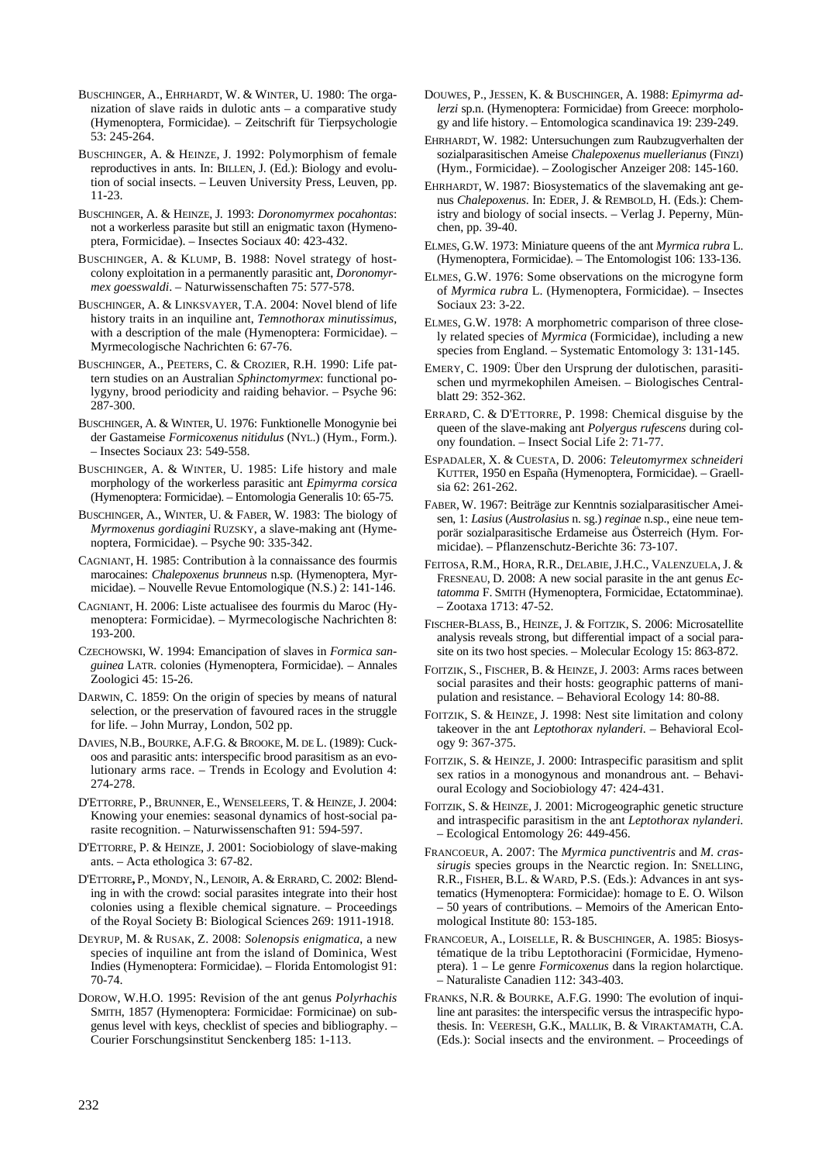- BUSCHINGER, A., EHRHARDT, W. & WINTER, U. 1980: The organization of slave raids in dulotic ants – a comparative study (Hymenoptera, Formicidae). – Zeitschrift für Tierpsychologie 53: 245-264.
- BUSCHINGER, A. & HEINZE, J. 1992: Polymorphism of female reproductives in ants. In: BILLEN, J. (Ed.): Biology and evolution of social insects. – Leuven University Press, Leuven, pp. 11-23.
- BUSCHINGER, A. & HEINZE, J. 1993: *Doronomyrmex pocahontas*: not a workerless parasite but still an enigmatic taxon (Hymenoptera, Formicidae). – Insectes Sociaux 40: 423-432.
- BUSCHINGER, A. & KLUMP, B. 1988: Novel strategy of hostcolony exploitation in a permanently parasitic ant, *Doronomyrmex goesswaldi*. – Naturwissenschaften 75: 577-578.
- BUSCHINGER, A. & LINKSVAYER, T.A. 2004: Novel blend of life history traits in an inquiline ant, *Temnothorax minutissimus*, with a description of the male (Hymenoptera: Formicidae). – Myrmecologische Nachrichten 6: 67-76.
- BUSCHINGER, A., PEETERS, C. & CROZIER, R.H. 1990: Life pattern studies on an Australian *Sphinctomyrmex*: functional polygyny, brood periodicity and raiding behavior. – Psyche 96: 287-300.
- BUSCHINGER, A. & WINTER, U. 1976: Funktionelle Monogynie bei der Gastameise *Formicoxenus nitidulus* (NYL.) (Hym., Form.). – Insectes Sociaux 23: 549-558.
- BUSCHINGER, A. & WINTER, U. 1985: Life history and male morphology of the workerless parasitic ant *Epimyrma corsica*  (Hymenoptera: Formicidae). – Entomologia Generalis 10: 65-75.
- BUSCHINGER, A., WINTER, U. & FABER, W. 1983: The biology of *Myrmoxenus gordiagini* RUZSKY, a slave-making ant (Hymenoptera, Formicidae). – Psyche 90: 335-342.
- CAGNIANT, H. 1985: Contribution à la connaissance des fourmis marocaines: *Chalepoxenus brunneus* n.sp. (Hymenoptera, Myrmicidae). – Nouvelle Revue Entomologique (N.S.) 2: 141-146.
- CAGNIANT, H. 2006: Liste actualisee des fourmis du Maroc (Hymenoptera: Formicidae). – Myrmecologische Nachrichten 8: 193-200.
- CZECHOWSKI, W. 1994: Emancipation of slaves in *Formica sanguinea* LATR. colonies (Hymenoptera, Formicidae). – Annales Zoologici 45: 15-26.
- DARWIN, C. 1859: On the origin of species by means of natural selection, or the preservation of favoured races in the struggle for life. – John Murray, London, 502 pp.
- DAVIES, N.B., BOURKE, A.F.G. & BROOKE, M. DE L. (1989): Cuckoos and parasitic ants: interspecific brood parasitism as an evolutionary arms race. – Trends in Ecology and Evolution 4: 274-278.
- D'ETTORRE, P., BRUNNER, E., WENSELEERS, T. & HEINZE, J. 2004: Knowing your enemies: seasonal dynamics of host-social parasite recognition. – Naturwissenschaften 91: 594-597.
- D'ETTORRE, P. & HEINZE, J. 2001: Sociobiology of slave-making ants. – Acta ethologica 3: 67-82.
- D'ETTORRE**,** P., MONDY, N., LENOIR, A. & ERRARD,C. 2002: Blending in with the crowd: social parasites integrate into their host colonies using a flexible chemical signature. – Proceedings of the Royal Society B: Biological Sciences 269: 1911-1918.
- DEYRUP, M. & RUSAK, Z. 2008: *Solenopsis enigmatica*, a new species of inquiline ant from the island of Dominica, West Indies (Hymenoptera: Formicidae). – Florida Entomologist 91: 70-74.
- DOROW, W.H.O. 1995: Revision of the ant genus *Polyrhachis* SMITH, 1857 (Hymenoptera: Formicidae: Formicinae) on subgenus level with keys, checklist of species and bibliography. – Courier Forschungsinstitut Senckenberg 185: 1-113.
- DOUWES, P., JESSEN, K. & BUSCHINGER, A. 1988: *Epimyrma adlerzi* sp.n. (Hymenoptera: Formicidae) from Greece: morphology and life history. – Entomologica scandinavica 19: 239-249.
- EHRHARDT, W. 1982: Untersuchungen zum Raubzugverhalten der sozialparasitischen Ameise *Chalepoxenus muellerianus* (FINZI) (Hym., Formicidae). – Zoologischer Anzeiger 208: 145-160.
- EHRHARDT, W. 1987: Biosystematics of the slavemaking ant genus *Chalepoxenus*. In: EDER, J. & REMBOLD, H. (Eds.): Chemistry and biology of social insects. – Verlag J. Peperny, München, pp. 39-40.
- ELMES, G.W. 1973: Miniature queens of the ant *Myrmica rubra* L. (Hymenoptera, Formicidae). – The Entomologist 106: 133-136.
- ELMES, G.W. 1976: Some observations on the microgyne form of *Myrmica rubra* L. (Hymenoptera, Formicidae). – Insectes Sociaux 23: 3-22.
- ELMES, G.W. 1978: A morphometric comparison of three closely related species of *Myrmica* (Formicidae), including a new species from England. – Systematic Entomology 3: 131-145.
- EMERY, C. 1909: Über den Ursprung der dulotischen, parasitischen und myrmekophilen Ameisen. – Biologisches Centralblatt 29: 352-362.
- ERRARD, C. & D'ETTORRE, P. 1998: Chemical disguise by the queen of the slave-making ant *Polyergus rufescens* during colony foundation. – Insect Social Life 2: 71-77.
- ESPADALER, X. & CUESTA, D. 2006: *Teleutomyrmex schneideri* KUTTER, 1950 en España (Hymenoptera, Formicidae). – Graellsia 62: 261-262.
- FABER, W. 1967: Beiträge zur Kenntnis sozialparasitischer Ameisen, 1: *Lasius* (*Austrolasius* n. sg.) *reginae* n.sp., eine neue temporär sozialparasitische Erdameise aus Österreich (Hym. Formicidae). – Pflanzenschutz-Berichte 36: 73-107.
- FEITOSA, R.M., HORA, R.R., DELABIE, J.H.C., VALENZUELA, J. & FRESNEAU, D. 2008: A new social parasite in the ant genus *Ectatomma* F. SMITH (Hymenoptera, Formicidae, Ectatomminae). – Zootaxa 1713: 47-52.
- FISCHER-BLASS, B., HEINZE, J. & FOITZIK, S. 2006: Microsatellite analysis reveals strong, but differential impact of a social parasite on its two host species. – Molecular Ecology 15: 863-872.
- FOITZIK, S., FISCHER, B. & HEINZE, J. 2003: Arms races between social parasites and their hosts: geographic patterns of manipulation and resistance. – Behavioral Ecology 14: 80-88.
- FOITZIK, S. & HEINZE, J. 1998: Nest site limitation and colony takeover in the ant *Leptothorax nylanderi*. – Behavioral Ecology 9: 367-375.
- FOITZIK, S. & HEINZE, J. 2000: Intraspecific parasitism and split sex ratios in a monogynous and monandrous ant. – Behavioural Ecology and Sociobiology 47: 424-431.
- FOITZIK, S. & HEINZE, J. 2001: Microgeographic genetic structure and intraspecific parasitism in the ant *Leptothorax nylanderi*. – Ecological Entomology 26: 449-456.
- FRANCOEUR, A. 2007: The *Myrmica punctiventris* and *M. crassirugis* species groups in the Nearctic region. In: SNELLING, R.R., FISHER, B.L. & WARD, P.S. (Eds.): Advances in ant systematics (Hymenoptera: Formicidae): homage to E. O. Wilson – 50 years of contributions. – Memoirs of the American Entomological Institute 80: 153-185.
- FRANCOEUR, A., LOISELLE, R. & BUSCHINGER, A. 1985: Biosystématique de la tribu Leptothoracini (Formicidae, Hymenoptera). 1 – Le genre *Formicoxenus* dans la region holarctique. – Naturaliste Canadien 112: 343-403.
- FRANKS, N.R. & BOURKE, A.F.G. 1990: The evolution of inquiline ant parasites: the interspecific versus the intraspecific hypothesis. In: VEERESH, G.K., MALLIK, B. & VIRAKTAMATH, C.A. (Eds.): Social insects and the environment. – Proceedings of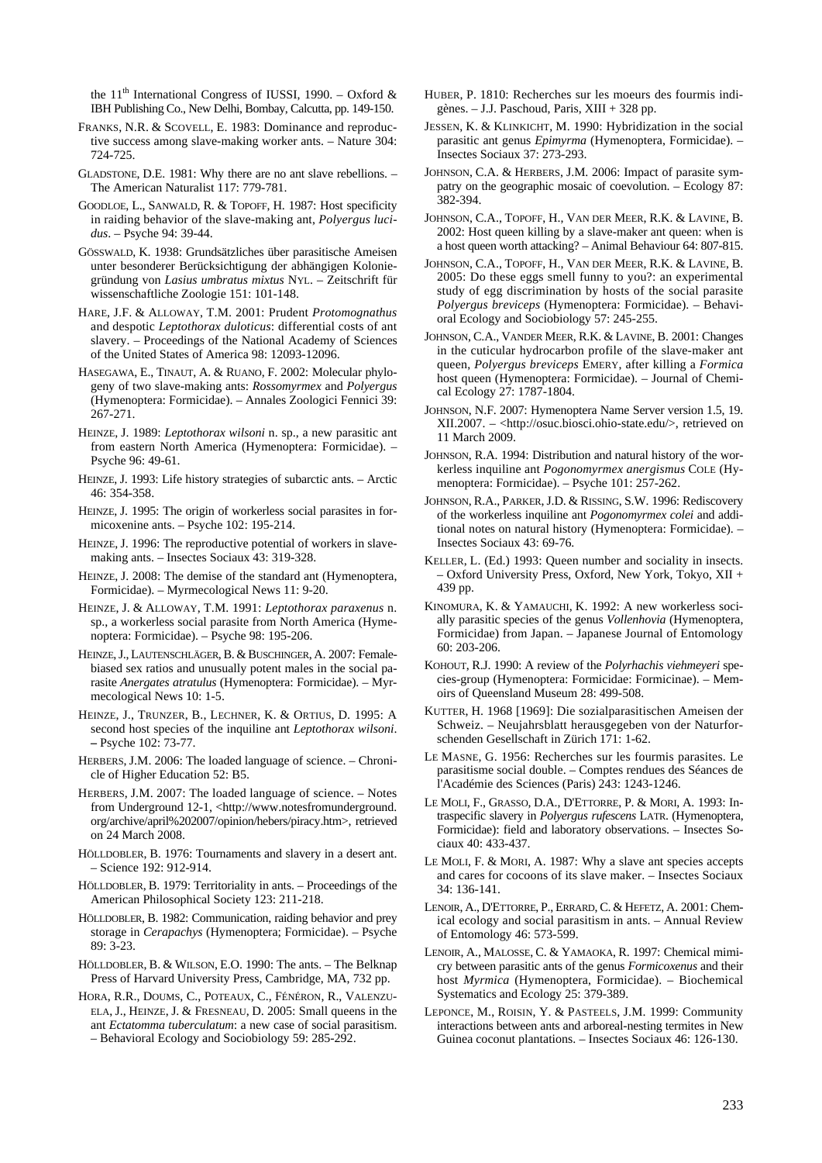the 11<sup>th</sup> International Congress of IUSSI, 1990. – Oxford & IBH Publishing Co., New Delhi, Bombay, Calcutta, pp. 149-150.

- FRANKS, N.R. & SCOVELL, E. 1983: Dominance and reproductive success among slave-making worker ants. – Nature 304: 724-725.
- GLADSTONE, D.E. 1981: Why there are no ant slave rebellions. The American Naturalist 117: 779-781.
- GOODLOE, L., SANWALD, R. & TOPOFF, H. 1987: Host specificity in raiding behavior of the slave-making ant, *Polyergus lucidus*. – Psyche 94: 39-44.
- GÖSSWALD, K. 1938: Grundsätzliches über parasitische Ameisen unter besonderer Berücksichtigung der abhängigen Koloniegründung von *Lasius umbratus mixtus* NYL. – Zeitschrift für wissenschaftliche Zoologie 151: 101-148.
- HARE, J.F. & ALLOWAY, T.M. 2001: Prudent *Protomognathus* and despotic *Leptothorax duloticus*: differential costs of ant slavery. – Proceedings of the National Academy of Sciences of the United States of America 98: 12093-12096.
- HASEGAWA, E., TINAUT, A. & RUANO, F. 2002: Molecular phylogeny of two slave-making ants: *Rossomyrmex* and *Polyergus* (Hymenoptera: Formicidae). – Annales Zoologici Fennici 39: 267-271.
- HEINZE, J. 1989: *Leptothorax wilsoni* n. sp., a new parasitic ant from eastern North America (Hymenoptera: Formicidae). – Psyche 96: 49-61.
- HEINZE, J. 1993: Life history strategies of subarctic ants. Arctic 46: 354-358.
- HEINZE, J. 1995: The origin of workerless social parasites in formicoxenine ants. – Psyche 102: 195-214.
- HEINZE, J. 1996: The reproductive potential of workers in slavemaking ants. – Insectes Sociaux 43: 319-328.
- HEINZE, J. 2008: The demise of the standard ant (Hymenoptera, Formicidae). – Myrmecological News 11: 9-20.
- HEINZE, J. & ALLOWAY, T.M. 1991: *Leptothorax paraxenus* n. sp., a workerless social parasite from North America (Hymenoptera: Formicidae). – Psyche 98: 195-206.
- HEINZE, J., LAUTENSCHLÄGER, B. & BUSCHINGER, A. 2007: Femalebiased sex ratios and unusually potent males in the social parasite *Anergates atratulus* (Hymenoptera: Formicidae). – Myrmecological News 10: 1-5.
- HEINZE, J., TRUNZER, B., LECHNER, K. & ORTIUS, D. 1995: A second host species of the inquiline ant *Leptothorax wilsoni*. **–** Psyche 102: 73-77.
- HERBERS, J.M. 2006: The loaded language of science. Chronicle of Higher Education 52: B5.
- HERBERS, J.M. 2007: The loaded language of science. Notes from Underground 12-1, <http://www.notesfromunderground. org/archive/april%202007/opinion/hebers/piracy.htm>, retrieved on 24 March 2008.
- HÖLLDOBLER, B. 1976: Tournaments and slavery in a desert ant. – Science 192: 912-914.
- HÖLLDOBLER, B. 1979: Territoriality in ants. Proceedings of the American Philosophical Society 123: 211-218.
- HÖLLDOBLER, B. 1982: Communication, raiding behavior and prey storage in *Cerapachys* (Hymenoptera; Formicidae). – Psyche 89: 3-23.
- HÖLLDOBLER, B. & WILSON, E.O. 1990: The ants. The Belknap Press of Harvard University Press, Cambridge, MA, 732 pp.
- HORA, R.R., DOUMS, C., POTEAUX, C., FÉNÉRON, R., VALENZU-ELA, J., HEINZE, J. & FRESNEAU, D. 2005: Small queens in the ant *Ectatomma tuberculatum*: a new case of social parasitism. – Behavioral Ecology and Sociobiology 59: 285-292.
- HUBER, P. 1810: Recherches sur les moeurs des fourmis indigènes. – J.J. Paschoud, Paris, XIII + 328 pp.
- JESSEN, K. & KLINKICHT, M. 1990: Hybridization in the social parasitic ant genus *Epimyrma* (Hymenoptera, Formicidae). – Insectes Sociaux 37: 273-293.
- JOHNSON, C.A. & HERBERS, J.M. 2006: Impact of parasite sympatry on the geographic mosaic of coevolution. – Ecology 87: 382-394.
- JOHNSON, C.A., TOPOFF, H., VAN DER MEER, R.K. & LAVINE, B. 2002: Host queen killing by a slave-maker ant queen: when is a host queen worth attacking? – Animal Behaviour 64: 807-815.
- JOHNSON, C.A., TOPOFF, H., VAN DER MEER, R.K. & LAVINE, B. 2005: Do these eggs smell funny to you?: an experimental study of egg discrimination by hosts of the social parasite *Polyergus breviceps* (Hymenoptera: Formicidae). – Behavioral Ecology and Sociobiology 57: 245-255.
- JOHNSON, C.A., VANDER MEER, R.K. & LAVINE, B. 2001: Changes in the cuticular hydrocarbon profile of the slave-maker ant queen, *Polyergus breviceps* EMERY, after killing a *Formica* host queen (Hymenoptera: Formicidae). – Journal of Chemical Ecology 27: 1787-1804.
- JOHNSON, N.F. 2007: Hymenoptera Name Server version 1.5, 19. XII.2007. – <http://osuc.biosci.ohio-state.edu/>, retrieved on 11 March 2009.
- JOHNSON, R.A. 1994: Distribution and natural history of the workerless inquiline ant *Pogonomyrmex anergismus* COLE (Hymenoptera: Formicidae). – Psyche 101: 257-262.
- JOHNSON, R.A., PARKER, J.D. & RISSING, S.W. 1996: Rediscovery of the workerless inquiline ant *Pogonomyrmex colei* and additional notes on natural history (Hymenoptera: Formicidae). – Insectes Sociaux 43: 69-76.
- KELLER, L. (Ed.) 1993: Queen number and sociality in insects. – Oxford University Press, Oxford, New York, Tokyo, XII + 439 pp.
- KINOMURA, K. & YAMAUCHI, K. 1992: A new workerless socially parasitic species of the genus *Vollenhovia* (Hymenoptera, Formicidae) from Japan. – Japanese Journal of Entomology 60: 203-206.
- KOHOUT, R.J. 1990: A review of the *Polyrhachis viehmeyeri* species-group (Hymenoptera: Formicidae: Formicinae). – Memoirs of Queensland Museum 28: 499-508.
- KUTTER, H. 1968 [1969]: Die sozialparasitischen Ameisen der Schweiz. – Neujahrsblatt herausgegeben von der Naturforschenden Gesellschaft in Zürich 171: 1-62.
- LE MASNE, G. 1956: Recherches sur les fourmis parasites. Le parasitisme social double. – Comptes rendues des Séances de l'Académie des Sciences (Paris) 243: 1243-1246.
- LE MOLI, F., GRASSO, D.A., D'ETTORRE, P. & MORI, A. 1993: Intraspecific slavery in *Polyergus rufescens* LATR. (Hymenoptera, Formicidae): field and laboratory observations. – Insectes Sociaux 40: 433-437.
- LE MOLI, F. & MORI, A. 1987: Why a slave ant species accepts and cares for cocoons of its slave maker. – Insectes Sociaux 34: 136-141.
- LENOIR, A., D'ETTORRE, P., ERRARD, C. & HEFETZ, A. 2001: Chemical ecology and social parasitism in ants. – Annual Review of Entomology 46: 573-599.
- LENOIR, A., MALOSSE, C. & YAMAOKA, R. 1997: Chemical mimicry between parasitic ants of the genus *Formicoxenus* and their host *Myrmica* (Hymenoptera, Formicidae). – Biochemical Systematics and Ecology 25: 379-389.
- LEPONCE, M., ROISIN, Y. & PASTEELS, J.M. 1999: Community interactions between ants and arboreal-nesting termites in New Guinea coconut plantations. – Insectes Sociaux 46: 126-130.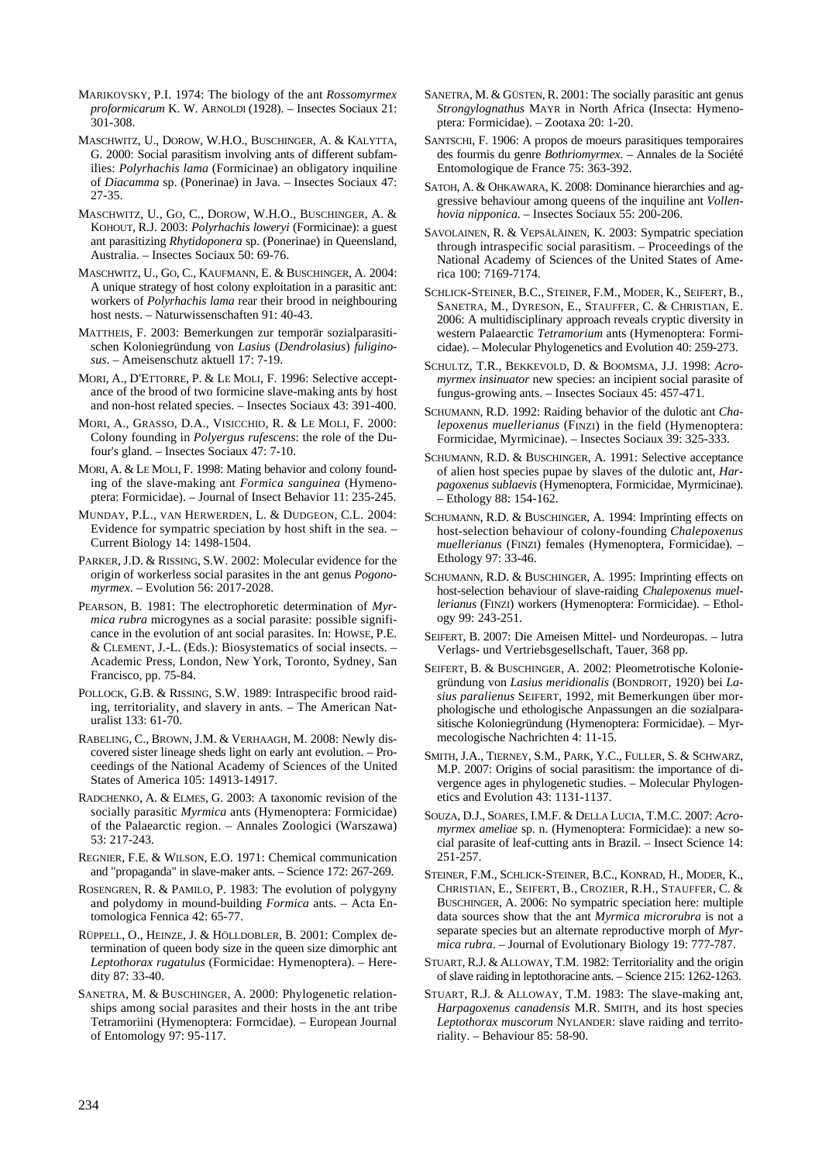- MARIKOVSKY, P.I. 1974: The biology of the ant *Rossomyrmex proformicarum* K. W. ARNOLDI (1928). – Insectes Sociaux 21: 301-308.
- MASCHWITZ, U., DOROW, W.H.O., BUSCHINGER, A. & KALYTTA, G. 2000: Social parasitism involving ants of different subfamilies: *Polyrhachis lama* (Formicinae) an obligatory inquiline of *Diacamma* sp. (Ponerinae) in Java. – Insectes Sociaux 47: 27-35.
- MASCHWITZ, U., GO, C., DOROW, W.H.O., BUSCHINGER, A. & KOHOUT, R.J. 2003: *Polyrhachis loweryi* (Formicinae): a guest ant parasitizing *Rhytidoponera* sp. (Ponerinae) in Queensland, Australia. – Insectes Sociaux 50: 69-76.
- MASCHWITZ, U., GO, C., KAUFMANN, E. & BUSCHINGER, A. 2004: A unique strategy of host colony exploitation in a parasitic ant: workers of *Polyrhachis lama* rear their brood in neighbouring host nests. – Naturwissenschaften 91: 40-43.
- MATTHEIS, F. 2003: Bemerkungen zur temporär sozialparasitischen Koloniegründung von *Lasius* (*Dendrolasius*) *fuliginosus*. – Ameisenschutz aktuell 17: 7-19.
- MORI, A., D'ETTORRE, P. & LE MOLI, F. 1996: Selective acceptance of the brood of two formicine slave-making ants by host and non-host related species. – Insectes Sociaux 43: 391-400.
- MORI, A., GRASSO, D.A., VISICCHIO, R. & LE MOLI, F. 2000: Colony founding in *Polyergus rufescens*: the role of the Dufour's gland. – Insectes Sociaux 47: 7-10.
- MORI, A. & LE MOLI, F. 1998: Mating behavior and colony founding of the slave-making ant *Formica sanguinea* (Hymenoptera: Formicidae). – Journal of Insect Behavior 11: 235-245.
- MUNDAY, P.L., VAN HERWERDEN, L. & DUDGEON, C.L. 2004: Evidence for sympatric speciation by host shift in the sea. – Current Biology 14: 1498-1504.
- PARKER, J.D. & RISSING, S.W. 2002: Molecular evidence for the origin of workerless social parasites in the ant genus *Pogonomyrmex*. – Evolution 56: 2017-2028.
- PEARSON, B. 1981: The electrophoretic determination of *Myrmica rubra* microgynes as a social parasite: possible significance in the evolution of ant social parasites. In: HOWSE, P.E. & CLEMENT, J.-L. (Eds.): Biosystematics of social insects. – Academic Press, London, New York, Toronto, Sydney, San Francisco, pp. 75-84.
- POLLOCK, G.B. & RISSING, S.W. 1989: Intraspecific brood raiding, territoriality, and slavery in ants. – The American Naturalist 133: 61-70.
- RABELING, C., BROWN, J.M. & VERHAAGH, M. 2008: Newly discovered sister lineage sheds light on early ant evolution. – Proceedings of the National Academy of Sciences of the United States of America 105: 14913-14917.
- RADCHENKO, A. & ELMES, G. 2003: A taxonomic revision of the socially parasitic *Myrmica* ants (Hymenoptera: Formicidae) of the Palaearctic region. – Annales Zoologici (Warszawa) 53: 217-243.
- REGNIER, F.E. & WILSON, E.O. 1971: Chemical communication and "propaganda" in slave-maker ants. – Science 172: 267-269.
- ROSENGREN, R. & PAMILO, P. 1983: The evolution of polygyny and polydomy in mound-building *Formica* ants. – Acta Entomologica Fennica 42: 65-77.
- RÜPPELL, O., HEINZE, J. & HÖLLDOBLER, B. 2001: Complex determination of queen body size in the queen size dimorphic ant *Leptothorax rugatulus* (Formicidae: Hymenoptera). – Heredity 87: 33-40.
- SANETRA, M. & BUSCHINGER, A. 2000: Phylogenetic relationships among social parasites and their hosts in the ant tribe Tetramoriini (Hymenoptera: Formcidae). – European Journal of Entomology 97: 95-117.
- SANETRA, M. & GÜSTEN, R. 2001: The socially parasitic ant genus *Strongylognathus* MAYR in North Africa (Insecta: Hymenoptera: Formicidae). – Zootaxa 20: 1-20.
- SANTSCHI, F. 1906: A propos de moeurs parasitiques temporaires des fourmis du genre *Bothriomyrmex*. – Annales de la Société Entomologique de France 75: 363-392.
- SATOH, A. & OHKAWARA, K. 2008: Dominance hierarchies and aggressive behaviour among queens of the inquiline ant *Vollenhovia nipponica*. – Insectes Sociaux 55: 200-206.
- SAVOLAINEN, R. & VEPSÄLÄINEN, K. 2003: Sympatric speciation through intraspecific social parasitism. – Proceedings of the National Academy of Sciences of the United States of America 100: 7169-7174.
- SCHLICK-STEINER, B.C., STEINER, F.M., MODER, K., SEIFERT, B., SANETRA, M., DYRESON, E., STAUFFER, C. & CHRISTIAN, E. 2006: A multidisciplinary approach reveals cryptic diversity in western Palaearctic *Tetramorium* ants (Hymenoptera: Formicidae). – Molecular Phylogenetics and Evolution 40: 259-273.
- SCHULTZ, T.R., BEKKEVOLD, D. & BOOMSMA, J.J. 1998: *Acromyrmex insinuator* new species: an incipient social parasite of fungus-growing ants. – Insectes Sociaux 45: 457-471.
- SCHUMANN, R.D. 1992: Raiding behavior of the dulotic ant *Chalepoxenus muellerianus* (FINZI) in the field (Hymenoptera: Formicidae, Myrmicinae). – Insectes Sociaux 39: 325-333.
- SCHUMANN, R.D. & BUSCHINGER, A. 1991: Selective acceptance of alien host species pupae by slaves of the dulotic ant, *Harpagoxenus sublaevis* (Hymenoptera, Formicidae, Myrmicinae). – Ethology 88: 154-162.
- SCHUMANN, R.D. & BUSCHINGER, A. 1994: Imprinting effects on host-selection behaviour of colony-founding *Chalepoxenus muellerianus* (FINZI) females (Hymenoptera, Formicidae). – Ethology 97: 33-46.
- SCHUMANN, R.D. & BUSCHINGER, A. 1995: Imprinting effects on host-selection behaviour of slave-raiding *Chalepoxenus muellerianus* (FINZI) workers (Hymenoptera: Formicidae). – Ethology 99: 243-251.
- SEIFERT, B. 2007: Die Ameisen Mittel- und Nordeuropas. lutra Verlags- und Vertriebsgesellschaft, Tauer, 368 pp.
- SEIFERT, B. & BUSCHINGER, A. 2002: Pleometrotische Koloniegründung von *Lasius meridionalis* (BONDROIT, 1920) bei *Lasius paralienus* SEIFERT, 1992, mit Bemerkungen über morphologische und ethologische Anpassungen an die sozialparasitische Koloniegründung (Hymenoptera: Formicidae). – Myrmecologische Nachrichten 4: 11-15.
- SMITH, J.A., TIERNEY, S.M., PARK, Y.C., FULLER, S. & SCHWARZ, M.P. 2007: Origins of social parasitism: the importance of divergence ages in phylogenetic studies. – Molecular Phylogenetics and Evolution 43: 1131-1137.
- SOUZA, D.J., SOARES, I.M.F. & DELLA LUCIA, T.M.C. 2007: *Acromyrmex ameliae* sp. n. (Hymenoptera: Formicidae): a new social parasite of leaf-cutting ants in Brazil. – Insect Science 14: 251-257.
- STEINER, F.M., SCHLICK-STEINER, B.C., KONRAD, H., MODER, K., CHRISTIAN, E., SEIFERT, B., CROZIER, R.H., STAUFFER, C. & BUSCHINGER, A. 2006: No sympatric speciation here: multiple data sources show that the ant *Myrmica microrubra* is not a separate species but an alternate reproductive morph of *Myrmica rubra*. – Journal of Evolutionary Biology 19: 777-787.
- STUART, R.J. & ALLOWAY, T.M. 1982: Territoriality and the origin of slave raiding in leptothoracine ants. – Science 215: 1262-1263.
- STUART, R.J. & ALLOWAY, T.M. 1983: The slave-making ant, *Harpagoxenus canadensis* M.R. SMITH, and its host species *Leptothorax muscorum* NYLANDER: slave raiding and territoriality. – Behaviour 85: 58-90.